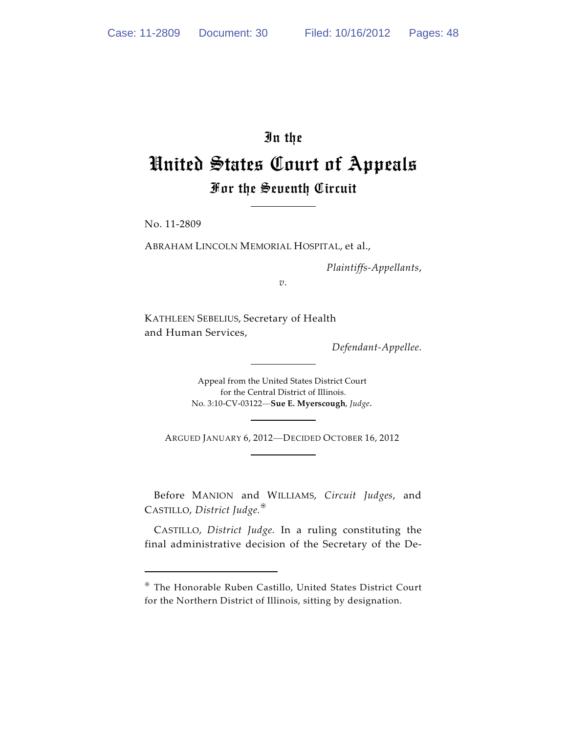# In the United States Court of Appeals For the Seventh Circuit

No. 11-2809

ABRAHAM LINCOLN MEMORIAL HOSPITAL, et al.,

*Plaintiffs-Appellants*,

*v.*

KATHLEEN SEBELIUS, Secretary of Health and Human Services,

*Defendant-Appellee*.

Appeal from the United States District Court for the Central District of Illinois. No. 3:10-CV-03122—**Sue E. Myerscough**, *Judge*.

ARGUED JANUARY 6, 2012—DECIDED OCTOBER 16, 2012

Before MANION and WILLIAMS, *Circuit Judges*, and CASTILLO, *District Judge.*-

CASTILLO, *District Judge.* In a ruling constituting the final administrative decision of the Secretary of the De-

 $*$  The Honorable Ruben Castillo, United States District Court for the Northern District of Illinois, sitting by designation.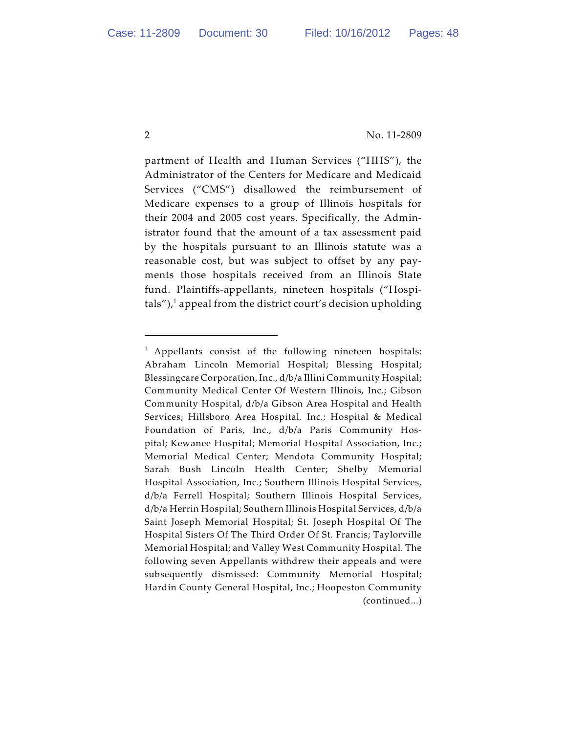partment of Health and Human Services ("HHS"), the Administrator of the Centers for Medicare and Medicaid Services ("CMS") disallowed the reimbursement of Medicare expenses to a group of Illinois hospitals for their 2004 and 2005 cost years. Specifically, the Administrator found that the amount of a tax assessment paid by the hospitals pursuant to an Illinois statute was a reasonable cost, but was subject to offset by any payments those hospitals received from an Illinois State fund. Plaintiffs-appellants, nineteen hospitals ("Hospitals"), $\lambda$  appeal from the district court's decision upholding

<sup>&</sup>lt;sup>1</sup> Appellants consist of the following nineteen hospitals: Abraham Lincoln Memorial Hospital; Blessing Hospital; Blessingcare Corporation, Inc., d/b/a Illini Community Hospital; Community Medical Center Of Western Illinois, Inc.; Gibson Community Hospital, d/b/a Gibson Area Hospital and Health Services; Hillsboro Area Hospital, Inc.; Hospital & Medical Foundation of Paris, Inc., d/b/a Paris Community Hospital; Kewanee Hospital; Memorial Hospital Association, Inc.; Memorial Medical Center; Mendota Community Hospital; Sarah Bush Lincoln Health Center; Shelby Memorial Hospital Association, Inc.; Southern Illinois Hospital Services, d/b/a Ferrell Hospital; Southern Illinois Hospital Services, d/b/a Herrin Hospital; Southern Illinois Hospital Services, d/b/a Saint Joseph Memorial Hospital; St. Joseph Hospital Of The Hospital Sisters Of The Third Order Of St. Francis; Taylorville Memorial Hospital; and Valley West Community Hospital. The following seven Appellants withdrew their appeals and were subsequently dismissed: Community Memorial Hospital; Hardin County General Hospital, Inc.; Hoopeston Community (continued...)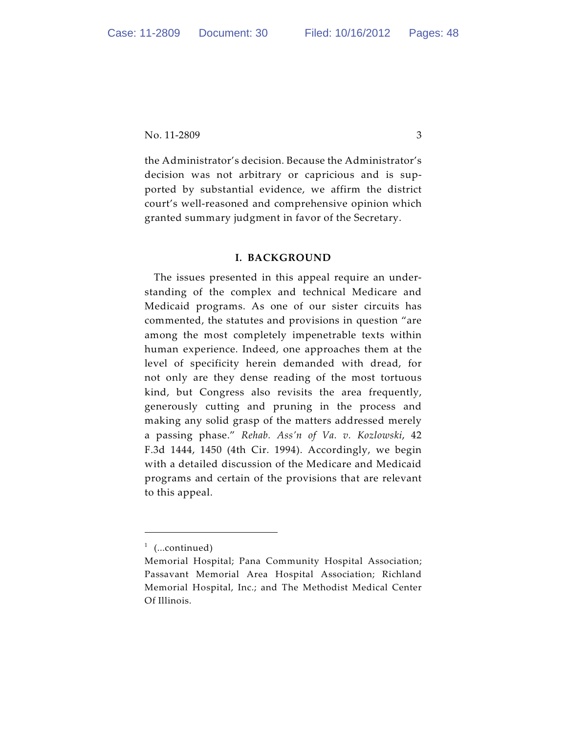the Administrator's decision. Because the Administrator's decision was not arbitrary or capricious and is supported by substantial evidence, we affirm the district court's well-reasoned and comprehensive opinion which granted summary judgment in favor of the Secretary.

#### **I. BACKGROUND**

The issues presented in this appeal require an understanding of the complex and technical Medicare and Medicaid programs. As one of our sister circuits has commented, the statutes and provisions in question "are among the most completely impenetrable texts within human experience. Indeed, one approaches them at the level of specificity herein demanded with dread, for not only are they dense reading of the most tortuous kind, but Congress also revisits the area frequently, generously cutting and pruning in the process and making any solid grasp of the matters addressed merely a passing phase." *Rehab. Ass'n of Va. v. Kozlowski*, 42 F.3d 1444, 1450 (4th Cir. 1994). Accordingly, we begin with a detailed discussion of the Medicare and Medicaid programs and certain of the provisions that are relevant to this appeal.

 $1$  (...continued)

Memorial Hospital; Pana Community Hospital Association; Passavant Memorial Area Hospital Association; Richland Memorial Hospital, Inc.; and The Methodist Medical Center Of Illinois.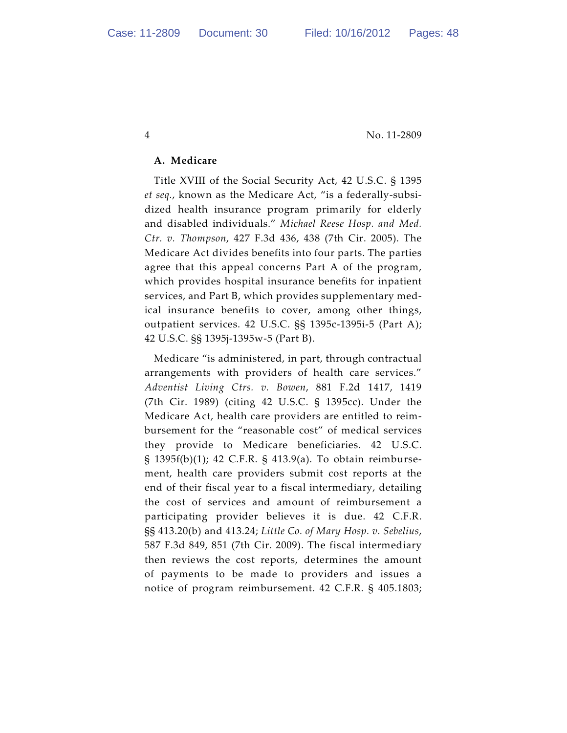#### **A. Medicare**

Title XVIII of the Social Security Act, 42 U.S.C. § 1395 *et seq.*, known as the Medicare Act, "is a federally-subsidized health insurance program primarily for elderly and disabled individuals." *Michael Reese Hosp. and Med. Ctr. v. Thompson*, 427 F.3d 436, 438 (7th Cir. 2005). The Medicare Act divides benefits into four parts. The parties agree that this appeal concerns Part A of the program, which provides hospital insurance benefits for inpatient services, and Part B, which provides supplementary medical insurance benefits to cover, among other things, outpatient services. 42 U.S.C. §§ 1395c-1395i-5 (Part A); 42 U.S.C. §§ 1395j-1395w-5 (Part B).

Medicare "is administered, in part, through contractual arrangements with providers of health care services." *Adventist Living Ctrs. v. Bowen*, 881 F.2d 1417, 1419 (7th Cir. 1989) (citing 42 U.S.C. § 1395cc). Under the Medicare Act, health care providers are entitled to reimbursement for the "reasonable cost" of medical services they provide to Medicare beneficiaries. 42 U.S.C. § 1395f(b)(1); 42 C.F.R. § 413.9(a). To obtain reimbursement, health care providers submit cost reports at the end of their fiscal year to a fiscal intermediary, detailing the cost of services and amount of reimbursement a participating provider believes it is due. 42 C.F.R. §§ 413.20(b) and 413.24; *Little Co. of Mary Hosp. v. Sebelius*, 587 F.3d 849, 851 (7th Cir. 2009). The fiscal intermediary then reviews the cost reports, determines the amount of payments to be made to providers and issues a notice of program reimbursement. 42 C.F.R. § 405.1803;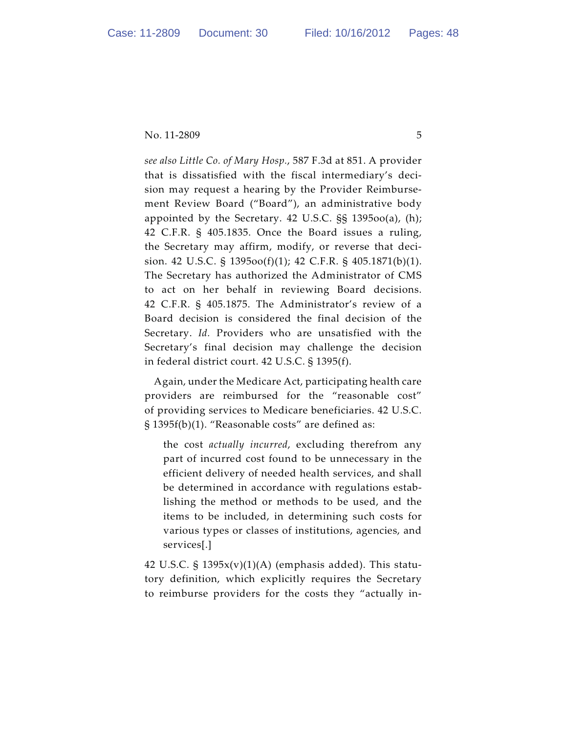*see also Little Co. of Mary Hosp.*, 587 F.3d at 851. A provider that is dissatisfied with the fiscal intermediary's decision may request a hearing by the Provider Reimbursement Review Board ("Board"), an administrative body appointed by the Secretary. 42 U.S.C. §§ 1395oo(a), (h); 42 C.F.R. § 405.1835. Once the Board issues a ruling, the Secretary may affirm, modify, or reverse that decision. 42 U.S.C. § 1395oo(f)(1); 42 C.F.R. § 405.1871(b)(1). The Secretary has authorized the Administrator of CMS to act on her behalf in reviewing Board decisions. 42 C.F.R. § 405.1875. The Administrator's review of a Board decision is considered the final decision of the Secretary. *Id.* Providers who are unsatisfied with the Secretary's final decision may challenge the decision in federal district court. 42 U.S.C. § 1395(f).

Again, under the Medicare Act, participating health care providers are reimbursed for the "reasonable cost" of providing services to Medicare beneficiaries. 42 U.S.C. § 1395f(b)(1). "Reasonable costs" are defined as:

the cost *actually incurred*, excluding therefrom any part of incurred cost found to be unnecessary in the efficient delivery of needed health services, and shall be determined in accordance with regulations establishing the method or methods to be used, and the items to be included, in determining such costs for various types or classes of institutions, agencies, and services[.]

42 U.S.C. §  $1395x(v)(1)(A)$  (emphasis added). This statutory definition, which explicitly requires the Secretary to reimburse providers for the costs they "actually in-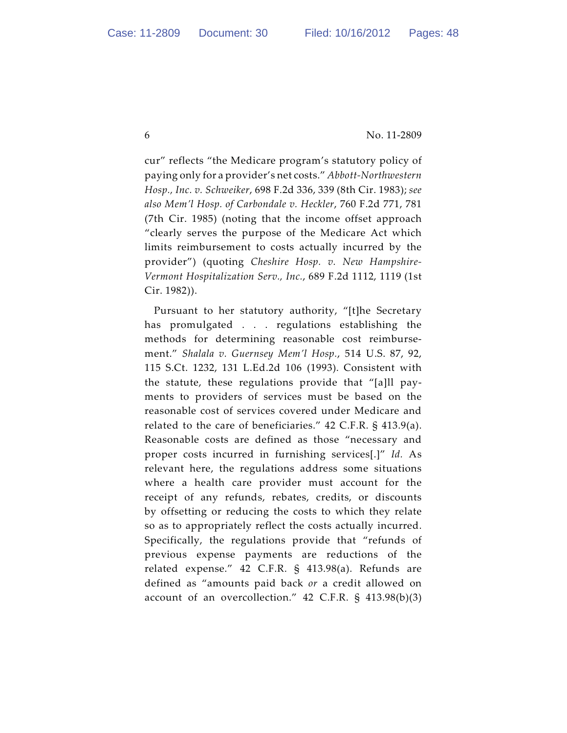cur" reflects "the Medicare program's statutory policy of paying only for a provider's net costs." *Abbott-Northwestern Hosp., Inc. v. Schweiker*, 698 F.2d 336, 339 (8th Cir. 1983); *see also Mem'l Hosp. of Carbondale v. Heckler*, 760 F.2d 771, 781 (7th Cir. 1985) (noting that the income offset approach "clearly serves the purpose of the Medicare Act which limits reimbursement to costs actually incurred by the provider") (quoting *Cheshire Hosp. v. New Hampshire-Vermont Hospitalization Serv., Inc.*, 689 F.2d 1112, 1119 (1st Cir. 1982)).

Pursuant to her statutory authority, "[t]he Secretary has promulgated . . . regulations establishing the methods for determining reasonable cost reimbursement." *Shalala v. Guernsey Mem'l Hosp.*, 514 U.S. 87, 92, 115 S.Ct. 1232, 131 L.Ed.2d 106 (1993). Consistent with the statute, these regulations provide that "[a]ll payments to providers of services must be based on the reasonable cost of services covered under Medicare and related to the care of beneficiaries." 42 C.F.R. § 413.9(a). Reasonable costs are defined as those "necessary and proper costs incurred in furnishing services[.]" *Id.* As relevant here, the regulations address some situations where a health care provider must account for the receipt of any refunds, rebates, credits, or discounts by offsetting or reducing the costs to which they relate so as to appropriately reflect the costs actually incurred. Specifically, the regulations provide that "refunds of previous expense payments are reductions of the related expense." 42 C.F.R. § 413.98(a). Refunds are defined as "amounts paid back *or* a credit allowed on account of an overcollection." 42 C.F.R. § 413.98(b)(3)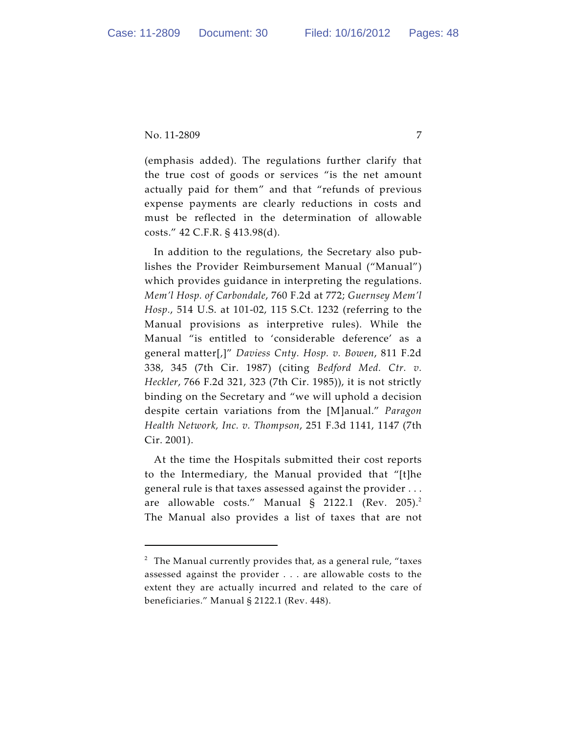(emphasis added). The regulations further clarify that the true cost of goods or services "is the net amount actually paid for them" and that "refunds of previous expense payments are clearly reductions in costs and must be reflected in the determination of allowable costs." 42 C.F.R. § 413.98(d).

In addition to the regulations, the Secretary also publishes the Provider Reimbursement Manual ("Manual") which provides guidance in interpreting the regulations. *Mem'l Hosp. of Carbondale*, 760 F.2d at 772; *Guernsey Mem'l Hosp.*, 514 U.S. at 101-02, 115 S.Ct. 1232 (referring to the Manual provisions as interpretive rules). While the Manual "is entitled to 'considerable deference' as a general matter[,]" *Daviess Cnty. Hosp. v. Bowen*, 811 F.2d 338, 345 (7th Cir. 1987) (citing *Bedford Med. Ctr. v. Heckler*, 766 F.2d 321, 323 (7th Cir. 1985)), it is not strictly binding on the Secretary and "we will uphold a decision despite certain variations from the [M]anual." *Paragon Health Network, Inc. v. Thompson*, 251 F.3d 1141, 1147 (7th Cir. 2001).

At the time the Hospitals submitted their cost reports to the Intermediary, the Manual provided that "[t]he general rule is that taxes assessed against the provider . . . are allowable costs." Manual  $\S$  2122.1 (Rev. 205).<sup>2</sup> The Manual also provides a list of taxes that are not

 $2$  The Manual currently provides that, as a general rule, "taxes assessed against the provider . . . are allowable costs to the extent they are actually incurred and related to the care of beneficiaries." Manual § 2122.1 (Rev. 448).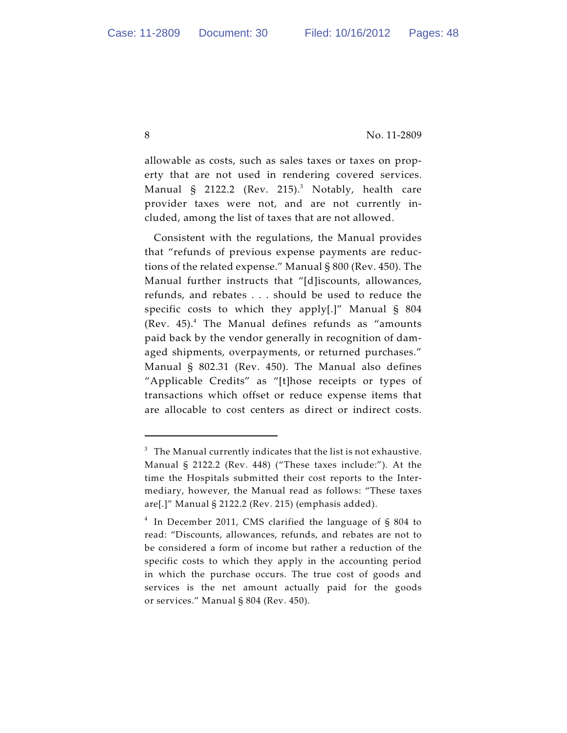allowable as costs, such as sales taxes or taxes on property that are not used in rendering covered services. Manual § 2122.2 (Rev. 215).<sup>3</sup> Notably, health care provider taxes were not, and are not currently included, among the list of taxes that are not allowed.

Consistent with the regulations, the Manual provides that "refunds of previous expense payments are reductions of the related expense." Manual § 800 (Rev. 450). The Manual further instructs that "[d]iscounts, allowances, refunds, and rebates . . . should be used to reduce the specific costs to which they apply[.]" Manual § 804 (Rev.  $45$ ).<sup>4</sup> The Manual defines refunds as "amounts paid back by the vendor generally in recognition of damaged shipments, overpayments, or returned purchases." Manual § 802.31 (Rev. 450). The Manual also defines "Applicable Credits" as "[t]hose receipts or types of transactions which offset or reduce expense items that are allocable to cost centers as direct or indirect costs.

 $^3$  The Manual currently indicates that the list is not exhaustive. Manual § 2122.2 (Rev. 448) ("These taxes include:"). At the time the Hospitals submitted their cost reports to the Intermediary, however, the Manual read as follows: "These taxes are[.]" Manual § 2122.2 (Rev. 215) (emphasis added).

 $4$  In December 2011, CMS clarified the language of § 804 to read: "Discounts, allowances, refunds, and rebates are not to be considered a form of income but rather a reduction of the specific costs to which they apply in the accounting period in which the purchase occurs. The true cost of goods and services is the net amount actually paid for the goods or services." Manual § 804 (Rev. 450).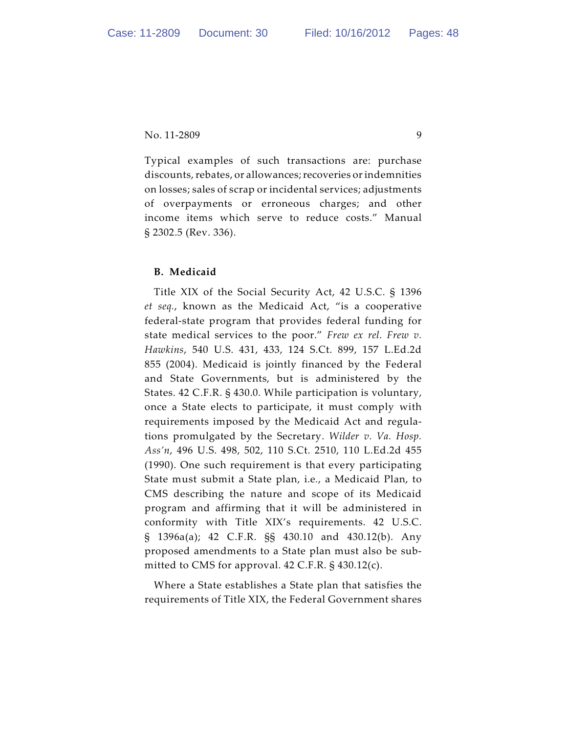Typical examples of such transactions are: purchase discounts, rebates, or allowances; recoveries or indemnities on losses; sales of scrap or incidental services; adjustments of overpayments or erroneous charges; and other income items which serve to reduce costs." Manual § 2302.5 (Rev. 336).

### **B. Medicaid**

Title XIX of the Social Security Act, 42 U.S.C. § 1396 *et seq.*, known as the Medicaid Act, "is a cooperative federal-state program that provides federal funding for state medical services to the poor." *Frew ex rel. Frew v. Hawkins*, 540 U.S. 431, 433, 124 S.Ct. 899, 157 L.Ed.2d 855 (2004). Medicaid is jointly financed by the Federal and State Governments, but is administered by the States. 42 C.F.R. § 430.0. While participation is voluntary, once a State elects to participate, it must comply with requirements imposed by the Medicaid Act and regulations promulgated by the Secretary. *Wilder v. Va. Hosp. Ass'n*, 496 U.S. 498, 502, 110 S.Ct. 2510, 110 L.Ed.2d 455 (1990). One such requirement is that every participating State must submit a State plan, i.e*.*, a Medicaid Plan, to CMS describing the nature and scope of its Medicaid program and affirming that it will be administered in conformity with Title XIX's requirements. 42 U.S.C. § 1396a(a); 42 C.F.R. §§ 430.10 and 430.12(b). Any proposed amendments to a State plan must also be submitted to CMS for approval. 42 C.F.R. § 430.12(c).

Where a State establishes a State plan that satisfies the requirements of Title XIX, the Federal Government shares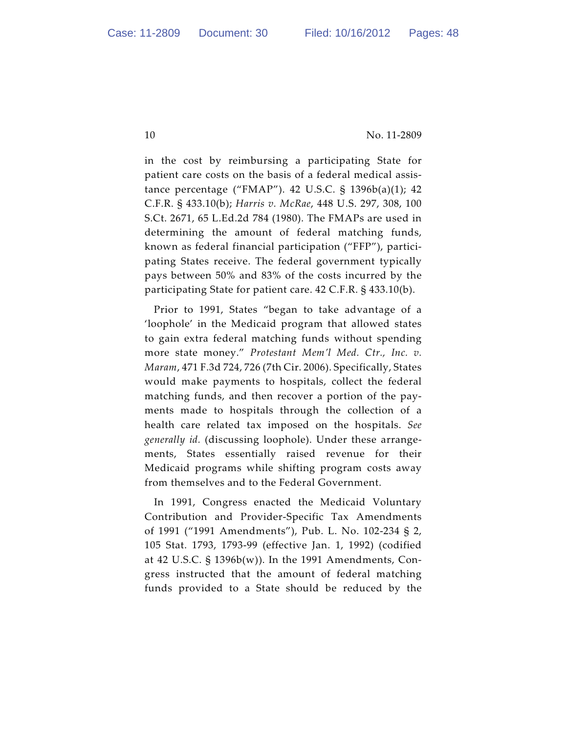in the cost by reimbursing a participating State for patient care costs on the basis of a federal medical assistance percentage ("FMAP"). 42 U.S.C. § 1396b(a)(1); 42 C.F.R. § 433.10(b); *Harris v. McRae*, 448 U.S. 297, 308, 100 S.Ct. 2671, 65 L.Ed.2d 784 (1980). The FMAPs are used in determining the amount of federal matching funds, known as federal financial participation ("FFP"), participating States receive. The federal government typically pays between 50% and 83% of the costs incurred by the participating State for patient care. 42 C.F.R. § 433.10(b).

Prior to 1991, States "began to take advantage of a 'loophole' in the Medicaid program that allowed states to gain extra federal matching funds without spending more state money." *Protestant Mem'l Med. Ctr., Inc. v. Maram*, 471 F.3d 724, 726 (7th Cir. 2006). Specifically, States would make payments to hospitals, collect the federal matching funds, and then recover a portion of the payments made to hospitals through the collection of a health care related tax imposed on the hospitals. *See generally id.* (discussing loophole). Under these arrangements, States essentially raised revenue for their Medicaid programs while shifting program costs away from themselves and to the Federal Government.

In 1991, Congress enacted the Medicaid Voluntary Contribution and Provider-Specific Tax Amendments of 1991 ("1991 Amendments"), Pub. L. No. 102-234 § 2, 105 Stat. 1793, 1793-99 (effective Jan. 1, 1992) (codified at 42 U.S.C. § 1396b(w)). In the 1991 Amendments, Congress instructed that the amount of federal matching funds provided to a State should be reduced by the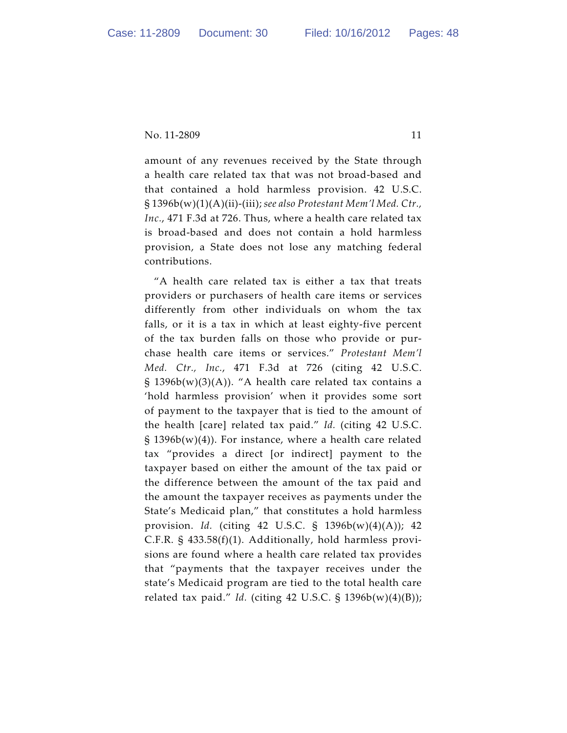amount of any revenues received by the State through a health care related tax that was not broad-based and that contained a hold harmless provision. 42 U.S.C. § 1396b(w)(1)(A)(ii)-(iii); *see also Protestant Mem'l Med. Ctr., Inc.*, 471 F.3d at 726. Thus, where a health care related tax is broad-based and does not contain a hold harmless provision, a State does not lose any matching federal contributions.

"A health care related tax is either a tax that treats providers or purchasers of health care items or services differently from other individuals on whom the tax falls, or it is a tax in which at least eighty-five percent of the tax burden falls on those who provide or purchase health care items or services." *Protestant Mem'l Med. Ctr., Inc.*, 471 F.3d at 726 (citing 42 U.S.C. §  $1396b(w)(3)(A)$ ). "A health care related tax contains a 'hold harmless provision' when it provides some sort of payment to the taxpayer that is tied to the amount of the health [care] related tax paid." *Id.* (citing 42 U.S.C. §  $1396b(w)(4)$ ). For instance, where a health care related tax "provides a direct [or indirect] payment to the taxpayer based on either the amount of the tax paid or the difference between the amount of the tax paid and the amount the taxpayer receives as payments under the State's Medicaid plan," that constitutes a hold harmless provision. *Id.* (citing 42 U.S.C. § 1396b(w)(4)(A)); 42 C.F.R. § 433.58(f)(1). Additionally, hold harmless provisions are found where a health care related tax provides that "payments that the taxpayer receives under the state's Medicaid program are tied to the total health care related tax paid." *Id.* (citing 42 U.S.C. § 1396b(w)(4)(B));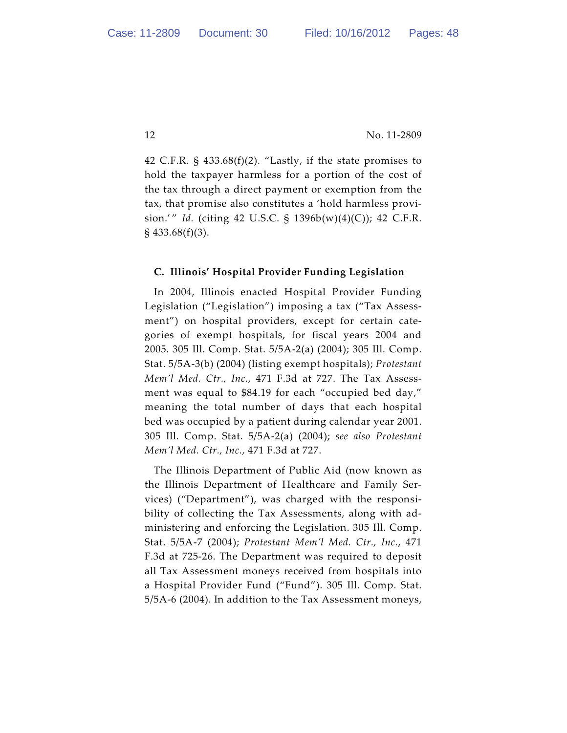42 C.F.R.  $\S$  433.68(f)(2). "Lastly, if the state promises to hold the taxpayer harmless for a portion of the cost of the tax through a direct payment or exemption from the tax, that promise also constitutes a 'hold harmless provision.'" *Id.* (citing 42 U.S.C. § 1396b(w)(4)(C)); 42 C.F.R.  $\S$  433.68(f)(3).

### **C. Illinois' Hospital Provider Funding Legislation**

In 2004, Illinois enacted Hospital Provider Funding Legislation ("Legislation") imposing a tax ("Tax Assessment") on hospital providers, except for certain categories of exempt hospitals, for fiscal years 2004 and 2005. 305 Ill. Comp. Stat. 5/5A-2(a) (2004); 305 Ill. Comp. Stat. 5/5A-3(b) (2004) (listing exempt hospitals); *Protestant Mem'l Med. Ctr., Inc.*, 471 F.3d at 727. The Tax Assessment was equal to \$84.19 for each "occupied bed day," meaning the total number of days that each hospital bed was occupied by a patient during calendar year 2001. 305 Ill. Comp. Stat. 5/5A-2(a) (2004); *see also Protestant Mem'l Med. Ctr., Inc.*, 471 F.3d at 727.

The Illinois Department of Public Aid (now known as the Illinois Department of Healthcare and Family Services) ("Department"), was charged with the responsibility of collecting the Tax Assessments, along with administering and enforcing the Legislation. 305 Ill. Comp. Stat. 5/5A-7 (2004); *Protestant Mem'l Med. Ctr., Inc.*, 471 F.3d at 725-26. The Department was required to deposit all Tax Assessment moneys received from hospitals into a Hospital Provider Fund ("Fund"). 305 Ill. Comp. Stat. 5/5A-6 (2004). In addition to the Tax Assessment moneys,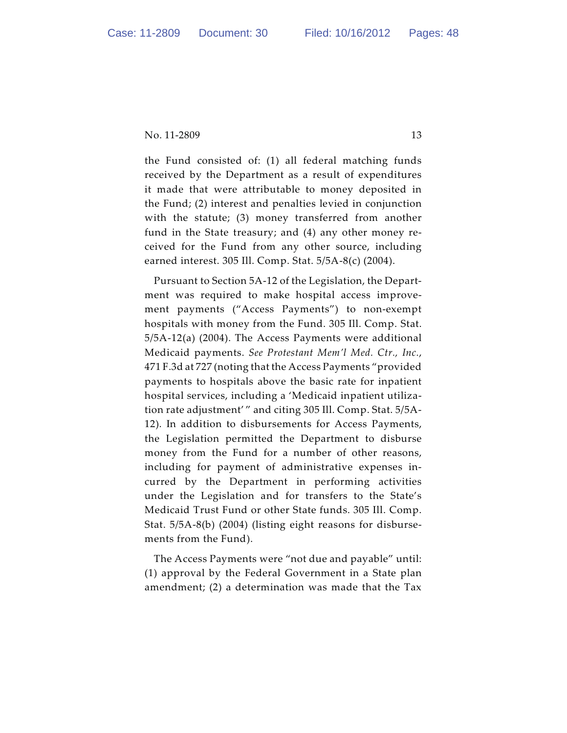the Fund consisted of: (1) all federal matching funds received by the Department as a result of expenditures it made that were attributable to money deposited in the Fund; (2) interest and penalties levied in conjunction with the statute; (3) money transferred from another fund in the State treasury; and (4) any other money received for the Fund from any other source, including earned interest. 305 Ill. Comp. Stat. 5/5A-8(c) (2004).

Pursuant to Section 5A-12 of the Legislation, the Department was required to make hospital access improvement payments ("Access Payments") to non-exempt hospitals with money from the Fund. 305 Ill. Comp. Stat. 5/5A-12(a) (2004). The Access Payments were additional Medicaid payments. *See Protestant Mem'l Med. Ctr., Inc.*, 471 F.3d at 727 (noting that the Access Payments "provided payments to hospitals above the basic rate for inpatient hospital services, including a 'Medicaid inpatient utilization rate adjustment' " and citing 305 Ill. Comp. Stat. 5/5A-12). In addition to disbursements for Access Payments, the Legislation permitted the Department to disburse money from the Fund for a number of other reasons, including for payment of administrative expenses incurred by the Department in performing activities under the Legislation and for transfers to the State's Medicaid Trust Fund or other State funds. 305 Ill. Comp. Stat. 5/5A-8(b) (2004) (listing eight reasons for disbursements from the Fund).

The Access Payments were "not due and payable" until: (1) approval by the Federal Government in a State plan amendment; (2) a determination was made that the Tax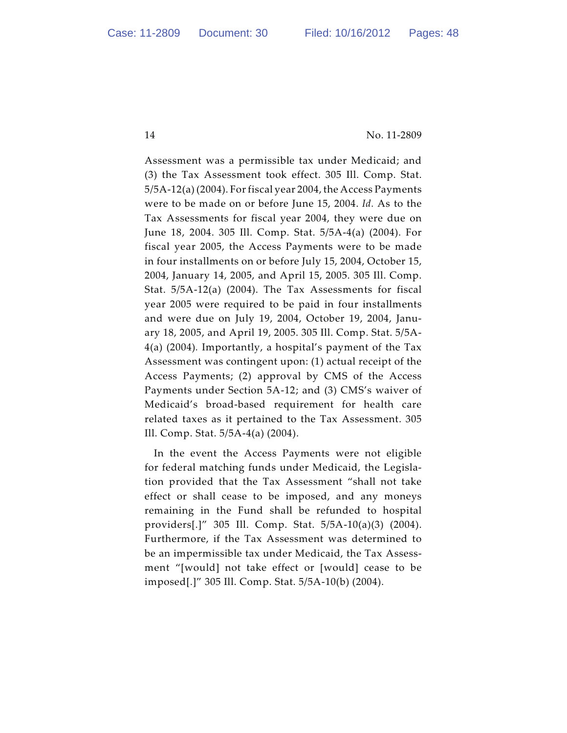Assessment was a permissible tax under Medicaid; and (3) the Tax Assessment took effect. 305 Ill. Comp. Stat. 5/5A-12(a) (2004). For fiscal year 2004, the Access Payments were to be made on or before June 15, 2004. *Id.* As to the Tax Assessments for fiscal year 2004, they were due on June 18, 2004. 305 Ill. Comp. Stat. 5/5A-4(a) (2004). For fiscal year 2005, the Access Payments were to be made in four installments on or before July 15, 2004, October 15, 2004, January 14, 2005, and April 15, 2005. 305 Ill. Comp. Stat. 5/5A-12(a) (2004). The Tax Assessments for fiscal year 2005 were required to be paid in four installments and were due on July 19, 2004, October 19, 2004, January 18, 2005, and April 19, 2005. 305 Ill. Comp. Stat. 5/5A-4(a) (2004)*.* Importantly, a hospital's payment of the Tax Assessment was contingent upon: (1) actual receipt of the Access Payments; (2) approval by CMS of the Access Payments under Section 5A-12; and (3) CMS's waiver of Medicaid's broad-based requirement for health care related taxes as it pertained to the Tax Assessment. 305 Ill. Comp. Stat. 5/5A-4(a) (2004).

In the event the Access Payments were not eligible for federal matching funds under Medicaid, the Legislation provided that the Tax Assessment "shall not take effect or shall cease to be imposed, and any moneys remaining in the Fund shall be refunded to hospital providers[.]" 305 Ill. Comp. Stat. 5/5A-10(a)(3) (2004). Furthermore, if the Tax Assessment was determined to be an impermissible tax under Medicaid, the Tax Assessment "[would] not take effect or [would] cease to be imposed[.]" 305 Ill. Comp. Stat. 5/5A-10(b) (2004).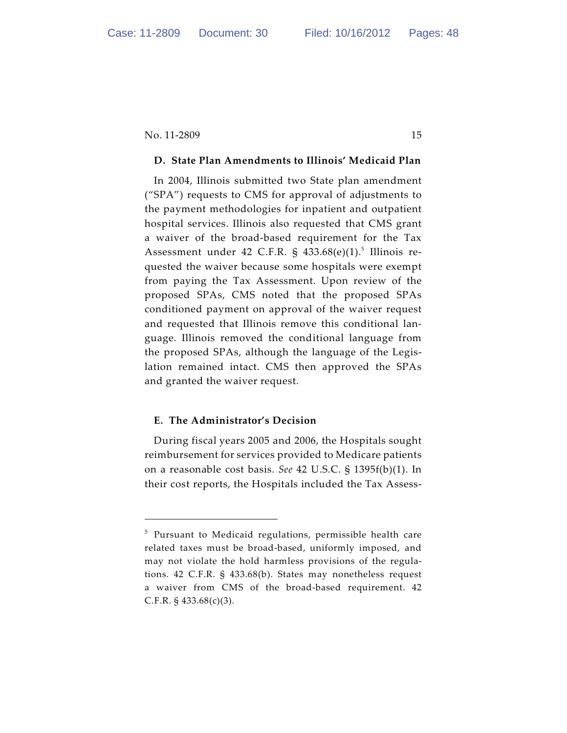#### **D. State Plan Amendments to Illinois' Medicaid Plan**

In 2004, Illinois submitted two State plan amendment ("SPA") requests to CMS for approval of adjustments to the payment methodologies for inpatient and outpatient hospital services. Illinois also requested that CMS grant a waiver of the broad-based requirement for the Tax Assessment under 42 C.F.R. § 433.68 $(e)(1)$ .<sup>5</sup> Illinois requested the waiver because some hospitals were exempt from paying the Tax Assessment. Upon review of the proposed SPAs, CMS noted that the proposed SPAs conditioned payment on approval of the waiver request and requested that Illinois remove this conditional language. Illinois removed the conditional language from the proposed SPAs, although the language of the Legislation remained intact. CMS then approved the SPAs and granted the waiver request.

#### **E. The Administrator's Decision**

During fiscal years 2005 and 2006, the Hospitals sought reimbursement for services provided to Medicare patients on a reasonable cost basis. *See* 42 U.S.C. § 1395f(b)(1). In their cost reports, the Hospitals included the Tax Assess-

 $5$  Pursuant to Medicaid regulations, permissible health care related taxes must be broad-based, uniformly imposed, and may not violate the hold harmless provisions of the regulations. 42 C.F.R. § 433.68(b). States may nonetheless request a waiver from CMS of the broad-based requirement. 42 C.F.R.  $\S$  433.68(c)(3).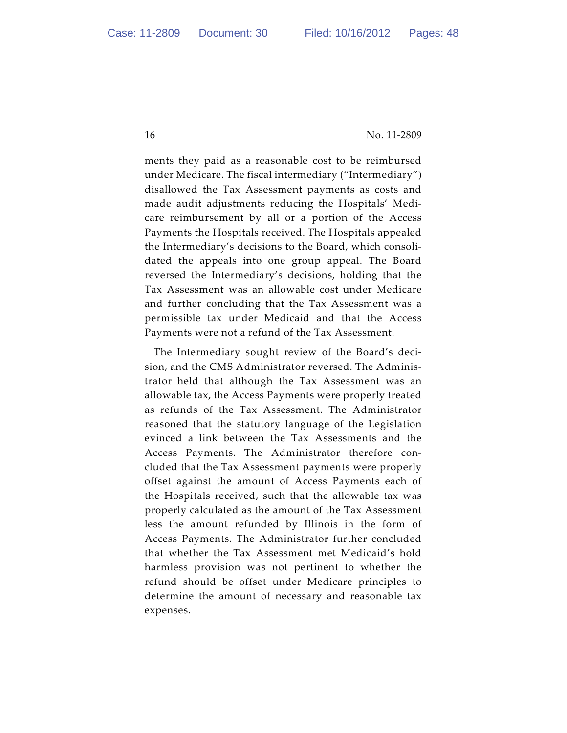ments they paid as a reasonable cost to be reimbursed under Medicare. The fiscal intermediary ("Intermediary") disallowed the Tax Assessment payments as costs and made audit adjustments reducing the Hospitals' Medicare reimbursement by all or a portion of the Access Payments the Hospitals received. The Hospitals appealed the Intermediary's decisions to the Board, which consolidated the appeals into one group appeal. The Board reversed the Intermediary's decisions, holding that the Tax Assessment was an allowable cost under Medicare and further concluding that the Tax Assessment was a permissible tax under Medicaid and that the Access Payments were not a refund of the Tax Assessment.

The Intermediary sought review of the Board's decision, and the CMS Administrator reversed. The Administrator held that although the Tax Assessment was an allowable tax, the Access Payments were properly treated as refunds of the Tax Assessment. The Administrator reasoned that the statutory language of the Legislation evinced a link between the Tax Assessments and the Access Payments. The Administrator therefore concluded that the Tax Assessment payments were properly offset against the amount of Access Payments each of the Hospitals received, such that the allowable tax was properly calculated as the amount of the Tax Assessment less the amount refunded by Illinois in the form of Access Payments. The Administrator further concluded that whether the Tax Assessment met Medicaid's hold harmless provision was not pertinent to whether the refund should be offset under Medicare principles to determine the amount of necessary and reasonable tax expenses.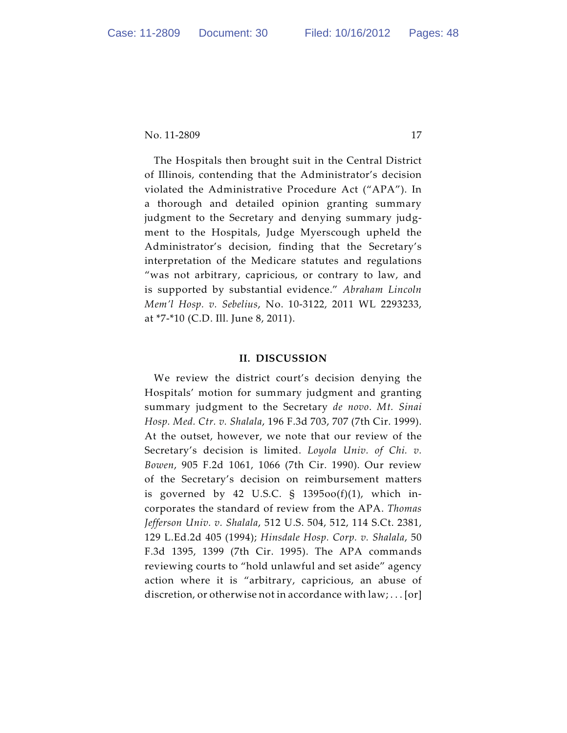The Hospitals then brought suit in the Central District of Illinois, contending that the Administrator's decision violated the Administrative Procedure Act ("APA"). In a thorough and detailed opinion granting summary judgment to the Secretary and denying summary judgment to the Hospitals, Judge Myerscough upheld the Administrator's decision, finding that the Secretary's interpretation of the Medicare statutes and regulations "was not arbitrary, capricious, or contrary to law, and is supported by substantial evidence." *Abraham Lincoln Mem'l Hosp. v. Sebelius*, No. 10-3122, 2011 WL 2293233, at \*7-\*10 (C.D. Ill. June 8, 2011).

#### **II. DISCUSSION**

We review the district court's decision denying the Hospitals' motion for summary judgment and granting summary judgment to the Secretary *de novo*. *Mt. Sinai Hosp. Med. Ctr. v. Shalala*, 196 F.3d 703, 707 (7th Cir. 1999). At the outset, however, we note that our review of the Secretary's decision is limited. *Loyola Univ. of Chi. v. Bowen*, 905 F.2d 1061, 1066 (7th Cir. 1990). Our review of the Secretary's decision on reimbursement matters is governed by 42 U.S.C.  $\S$  1395 $oo(f)(1)$ , which incorporates the standard of review from the APA. *Thomas Jefferson Univ. v. Shalala*, 512 U.S. 504, 512, 114 S.Ct. 2381, 129 L.Ed.2d 405 (1994); *Hinsdale Hosp. Corp. v. Shalala*, 50 F.3d 1395, 1399 (7th Cir. 1995). The APA commands reviewing courts to "hold unlawful and set aside" agency action where it is "arbitrary, capricious, an abuse of discretion, or otherwise not in accordance with law; . . . [or]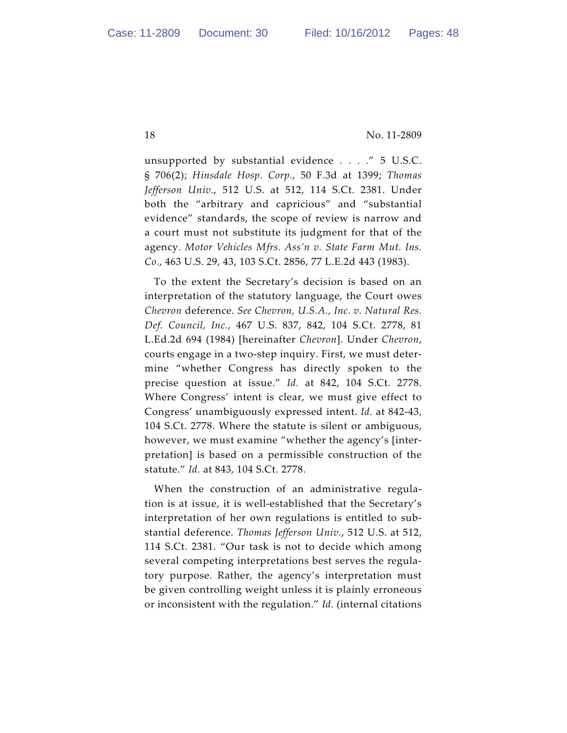unsupported by substantial evidence . . . ." 5 U.S.C. § 706(2); *Hinsdale Hosp. Corp.*, 50 F.3d at 1399; *Thomas Jefferson Univ.*, 512 U.S. at 512, 114 S.Ct. 2381. Under both the "arbitrary and capricious" and "substantial evidence" standards, the scope of review is narrow and a court must not substitute its judgment for that of the agency. *Motor Vehicles Mfrs. Ass'n v. State Farm Mut. Ins. Co.*, 463 U.S. 29, 43, 103 S.Ct. 2856, 77 L.E.2d 443 (1983).

To the extent the Secretary's decision is based on an interpretation of the statutory language, the Court owes *Chevron* deference. *See Chevron, U.S.A., Inc. v. Natural Res. Def. Council, Inc.*, 467 U.S. 837, 842, 104 S.Ct. 2778, 81 L.Ed.2d 694 (1984) [hereinafter *Chevron*]. Under *Chevron*, courts engage in a two-step inquiry. First, we must determine "whether Congress has directly spoken to the precise question at issue." *Id.* at 842, 104 S.Ct. 2778. Where Congress' intent is clear, we must give effect to Congress' unambiguously expressed intent. *Id.* at 842-43, 104 S.Ct. 2778. Where the statute is silent or ambiguous, however, we must examine "whether the agency's [interpretation] is based on a permissible construction of the statute." *Id.* at 843, 104 S.Ct. 2778.

When the construction of an administrative regulation is at issue, it is well-established that the Secretary's interpretation of her own regulations is entitled to substantial deference. *Thomas Jefferson Univ.*, 512 U.S. at 512, 114 S.Ct. 2381. "Our task is not to decide which among several competing interpretations best serves the regulatory purpose. Rather, the agency's interpretation must be given controlling weight unless it is plainly erroneous or inconsistent with the regulation." *Id.* (internal citations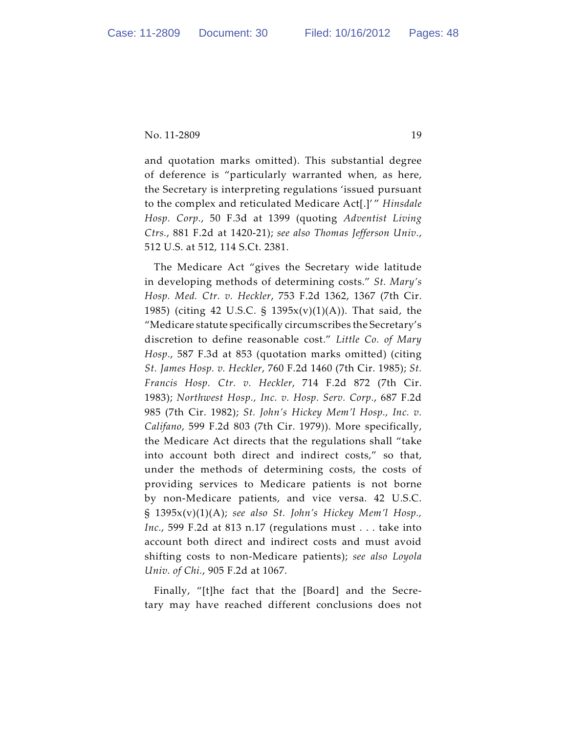and quotation marks omitted). This substantial degree of deference is "particularly warranted when, as here, the Secretary is interpreting regulations 'issued pursuant to the complex and reticulated Medicare Act[.]' " *Hinsdale Hosp. Corp.*, 50 F.3d at 1399 (quoting *Adventist Living Ctrs.*, 881 F.2d at 1420-21); *see also Thomas Jefferson Univ.*, 512 U.S. at 512, 114 S.Ct. 2381.

The Medicare Act "gives the Secretary wide latitude in developing methods of determining costs." *St. Mary's Hosp. Med. Ctr. v. Heckler*, 753 F.2d 1362, 1367 (7th Cir. 1985) (citing 42 U.S.C. § 1395x(v)(1)(A)). That said, the "Medicare statute specifically circumscribes the Secretary's discretion to define reasonable cost." *Little Co. of Mary Hosp.*, 587 F.3d at 853 (quotation marks omitted) (citing *St. James Hosp. v. Heckler*, 760 F.2d 1460 (7th Cir. 1985); *St. Francis Hosp. Ctr. v. Heckler*, 714 F.2d 872 (7th Cir. 1983); *Northwest Hosp., Inc. v. Hosp. Serv. Corp.*, 687 F.2d 985 (7th Cir. 1982); *St. John's Hickey Mem'l Hosp., Inc. v. Califano*, 599 F.2d 803 (7th Cir. 1979)). More specifically, the Medicare Act directs that the regulations shall "take into account both direct and indirect costs," so that, under the methods of determining costs, the costs of providing services to Medicare patients is not borne by non-Medicare patients, and vice versa. 42 U.S.C. § 1395x(v)(1)(A); *see also St. John's Hickey Mem'l Hosp., Inc.*, 599 F.2d at 813 n.17 (regulations must . . . take into account both direct and indirect costs and must avoid shifting costs to non-Medicare patients); *see also Loyola Univ. of Chi.*, 905 F.2d at 1067.

Finally, "[t]he fact that the [Board] and the Secretary may have reached different conclusions does not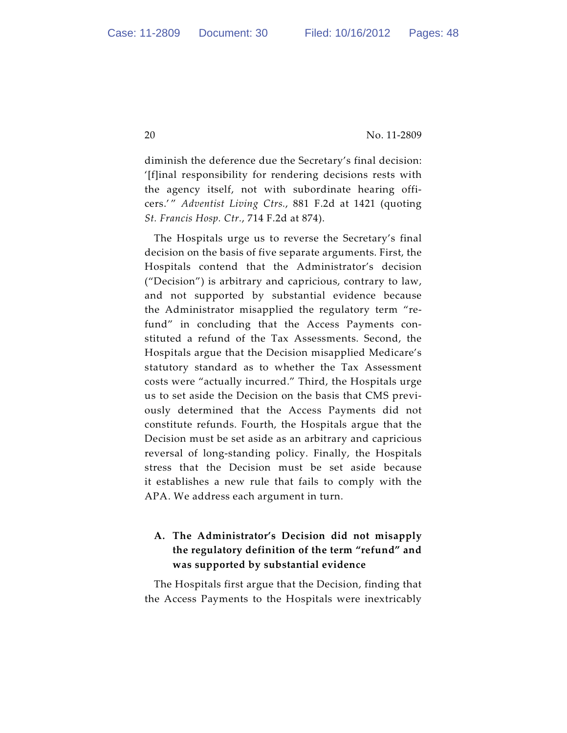diminish the deference due the Secretary's final decision: '[f]inal responsibility for rendering decisions rests with the agency itself, not with subordinate hearing officers.' " *Adventist Living Ctrs.*, 881 F.2d at 1421 (quoting *St. Francis Hosp. Ctr.*, 714 F.2d at 874).

The Hospitals urge us to reverse the Secretary's final decision on the basis of five separate arguments. First, the Hospitals contend that the Administrator's decision ("Decision") is arbitrary and capricious, contrary to law, and not supported by substantial evidence because the Administrator misapplied the regulatory term "refund" in concluding that the Access Payments constituted a refund of the Tax Assessments. Second, the Hospitals argue that the Decision misapplied Medicare's statutory standard as to whether the Tax Assessment costs were "actually incurred." Third, the Hospitals urge us to set aside the Decision on the basis that CMS previously determined that the Access Payments did not constitute refunds. Fourth, the Hospitals argue that the Decision must be set aside as an arbitrary and capricious reversal of long-standing policy. Finally, the Hospitals stress that the Decision must be set aside because it establishes a new rule that fails to comply with the APA. We address each argument in turn.

# **A. The Administrator's Decision did not misapply the regulatory definition of the term "refund" and was supported by substantial evidence**

The Hospitals first argue that the Decision, finding that the Access Payments to the Hospitals were inextricably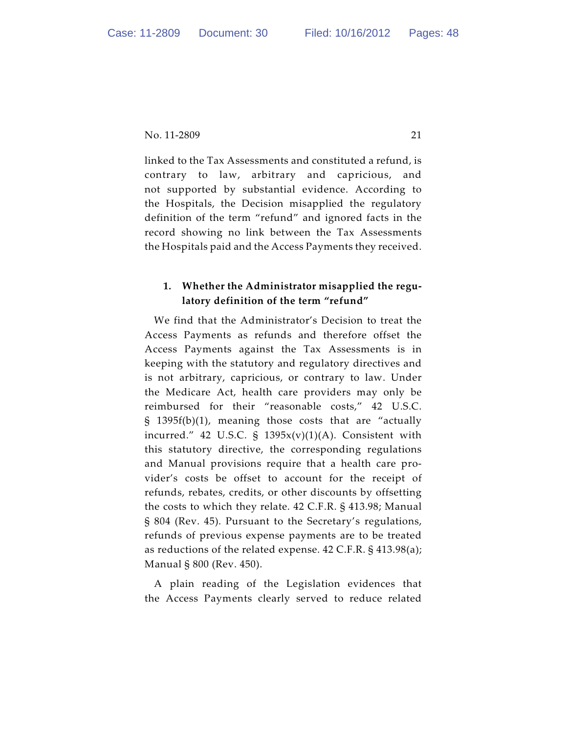linked to the Tax Assessments and constituted a refund, is contrary to law, arbitrary and capricious, and not supported by substantial evidence. According to the Hospitals, the Decision misapplied the regulatory definition of the term "refund" and ignored facts in the record showing no link between the Tax Assessments the Hospitals paid and the Access Payments they received.

## **1. Whether the Administrator misapplied the regulatory definition of the term "refund"**

We find that the Administrator's Decision to treat the Access Payments as refunds and therefore offset the Access Payments against the Tax Assessments is in keeping with the statutory and regulatory directives and is not arbitrary, capricious, or contrary to law. Under the Medicare Act, health care providers may only be reimbursed for their "reasonable costs," 42 U.S.C. § 1395f(b)(1), meaning those costs that are "actually incurred." 42 U.S.C. §  $1395x(v)(1)(A)$ . Consistent with this statutory directive, the corresponding regulations and Manual provisions require that a health care provider's costs be offset to account for the receipt of refunds, rebates, credits, or other discounts by offsetting the costs to which they relate. 42 C.F.R. § 413.98; Manual § 804 (Rev. 45). Pursuant to the Secretary's regulations, refunds of previous expense payments are to be treated as reductions of the related expense. 42 C.F.R. § 413.98(a); Manual § 800 (Rev. 450).

A plain reading of the Legislation evidences that the Access Payments clearly served to reduce related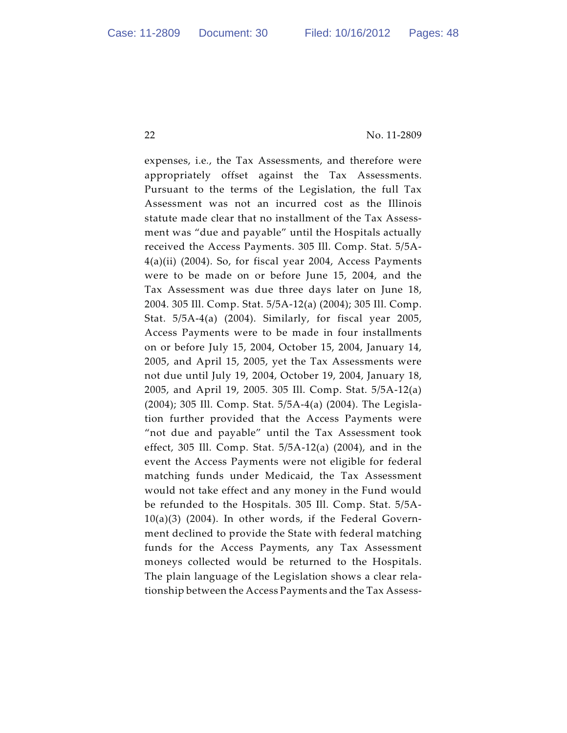expenses, i.e*.*, the Tax Assessments, and therefore were appropriately offset against the Tax Assessments. Pursuant to the terms of the Legislation, the full Tax Assessment was not an incurred cost as the Illinois statute made clear that no installment of the Tax Assessment was "due and payable" until the Hospitals actually received the Access Payments. 305 Ill. Comp. Stat. 5/5A-4(a)(ii) (2004). So, for fiscal year 2004, Access Payments were to be made on or before June 15, 2004, and the Tax Assessment was due three days later on June 18, 2004. 305 Ill. Comp. Stat. 5/5A-12(a) (2004); 305 Ill. Comp. Stat. 5/5A-4(a) (2004). Similarly, for fiscal year 2005, Access Payments were to be made in four installments on or before July 15, 2004, October 15, 2004, January 14, 2005, and April 15, 2005, yet the Tax Assessments were not due until July 19, 2004, October 19, 2004, January 18, 2005, and April 19, 2005. 305 Ill. Comp. Stat. 5/5A-12(a) (2004); 305 Ill. Comp. Stat. 5/5A-4(a) (2004). The Legislation further provided that the Access Payments were "not due and payable" until the Tax Assessment took effect, 305 Ill. Comp. Stat. 5/5A-12(a) (2004), and in the event the Access Payments were not eligible for federal matching funds under Medicaid, the Tax Assessment would not take effect and any money in the Fund would be refunded to the Hospitals. 305 Ill. Comp. Stat. 5/5A- $10(a)(3)$  (2004). In other words, if the Federal Government declined to provide the State with federal matching funds for the Access Payments, any Tax Assessment moneys collected would be returned to the Hospitals. The plain language of the Legislation shows a clear relationship between the Access Payments and the Tax Assess-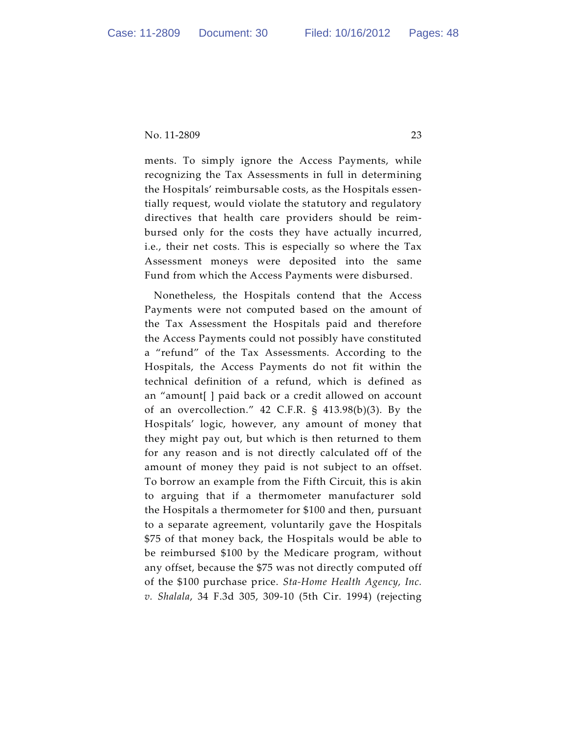ments. To simply ignore the Access Payments, while recognizing the Tax Assessments in full in determining the Hospitals' reimbursable costs, as the Hospitals essentially request, would violate the statutory and regulatory directives that health care providers should be reimbursed only for the costs they have actually incurred, i.e*.*, their net costs. This is especially so where the Tax Assessment moneys were deposited into the same Fund from which the Access Payments were disbursed.

Nonetheless, the Hospitals contend that the Access Payments were not computed based on the amount of the Tax Assessment the Hospitals paid and therefore the Access Payments could not possibly have constituted a "refund" of the Tax Assessments. According to the Hospitals, the Access Payments do not fit within the technical definition of a refund, which is defined as an "amount[ ] paid back or a credit allowed on account of an overcollection." 42 C.F.R. § 413.98(b)(3). By the Hospitals' logic, however, any amount of money that they might pay out, but which is then returned to them for any reason and is not directly calculated off of the amount of money they paid is not subject to an offset. To borrow an example from the Fifth Circuit, this is akin to arguing that if a thermometer manufacturer sold the Hospitals a thermometer for \$100 and then, pursuant to a separate agreement, voluntarily gave the Hospitals \$75 of that money back, the Hospitals would be able to be reimbursed \$100 by the Medicare program, without any offset, because the \$75 was not directly computed off of the \$100 purchase price. *Sta-Home Health Agency, Inc. v. Shalala*, 34 F.3d 305, 309-10 (5th Cir. 1994) (rejecting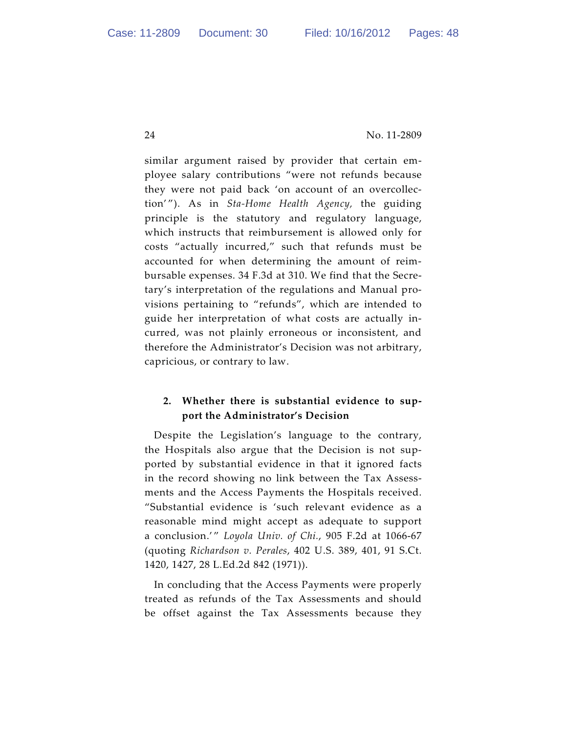similar argument raised by provider that certain employee salary contributions "were not refunds because they were not paid back 'on account of an overcollection' "). As in *Sta-Home Health Agency,* the guiding principle is the statutory and regulatory language, which instructs that reimbursement is allowed only for costs "actually incurred," such that refunds must be accounted for when determining the amount of reimbursable expenses. 34 F.3d at 310. We find that the Secretary's interpretation of the regulations and Manual provisions pertaining to "refunds", which are intended to guide her interpretation of what costs are actually incurred, was not plainly erroneous or inconsistent, and therefore the Administrator's Decision was not arbitrary, capricious, or contrary to law.

## **2. Whether there is substantial evidence to support the Administrator's Decision**

Despite the Legislation's language to the contrary, the Hospitals also argue that the Decision is not supported by substantial evidence in that it ignored facts in the record showing no link between the Tax Assessments and the Access Payments the Hospitals received. "Substantial evidence is 'such relevant evidence as a reasonable mind might accept as adequate to support a conclusion.'" Loyola Univ. of Chi., 905 F.2d at 1066-67 (quoting *Richardson v. Perales*, 402 U.S. 389, 401, 91 S.Ct. 1420, 1427, 28 L.Ed.2d 842 (1971)).

In concluding that the Access Payments were properly treated as refunds of the Tax Assessments and should be offset against the Tax Assessments because they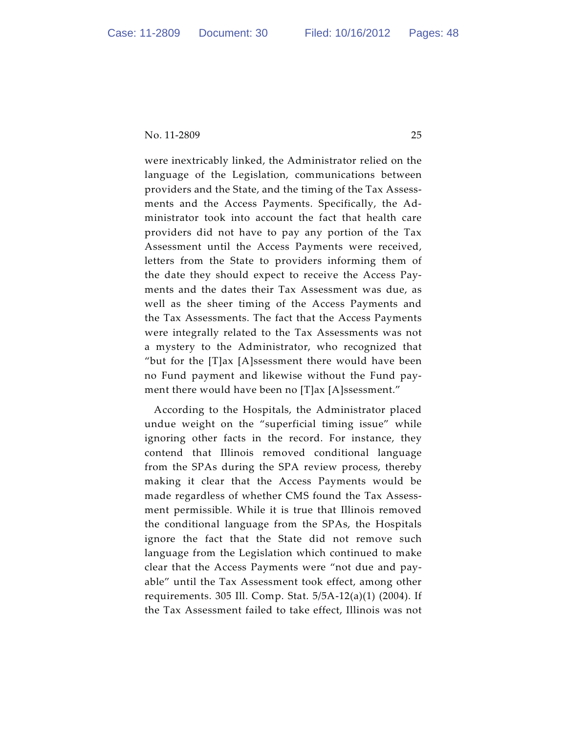were inextricably linked, the Administrator relied on the language of the Legislation, communications between providers and the State, and the timing of the Tax Assessments and the Access Payments. Specifically, the Administrator took into account the fact that health care providers did not have to pay any portion of the Tax Assessment until the Access Payments were received, letters from the State to providers informing them of the date they should expect to receive the Access Payments and the dates their Tax Assessment was due, as well as the sheer timing of the Access Payments and the Tax Assessments. The fact that the Access Payments were integrally related to the Tax Assessments was not a mystery to the Administrator, who recognized that "but for the  $[T]$ ax [A]ssessment there would have been no Fund payment and likewise without the Fund payment there would have been no [T]ax [A]ssessment."

According to the Hospitals, the Administrator placed undue weight on the "superficial timing issue" while ignoring other facts in the record. For instance, they contend that Illinois removed conditional language from the SPAs during the SPA review process, thereby making it clear that the Access Payments would be made regardless of whether CMS found the Tax Assessment permissible. While it is true that Illinois removed the conditional language from the SPAs, the Hospitals ignore the fact that the State did not remove such language from the Legislation which continued to make clear that the Access Payments were "not due and payable" until the Tax Assessment took effect, among other requirements. 305 Ill. Comp. Stat. 5/5A-12(a)(1) (2004). If the Tax Assessment failed to take effect, Illinois was not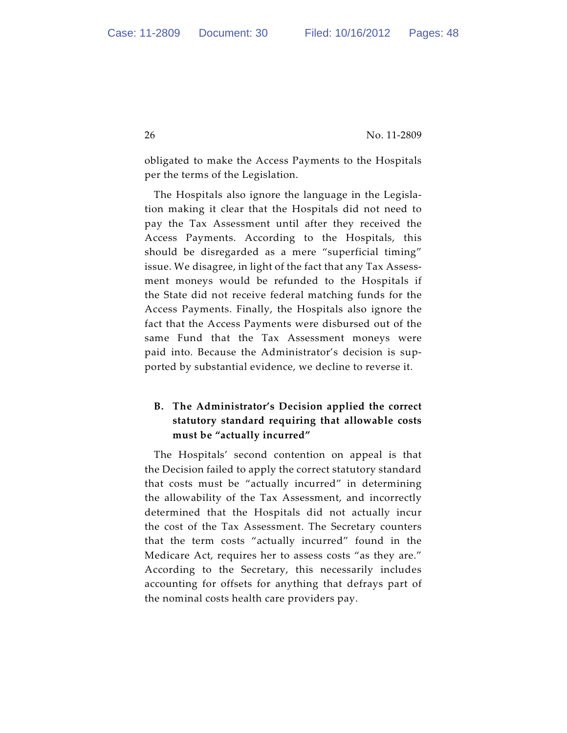obligated to make the Access Payments to the Hospitals per the terms of the Legislation.

The Hospitals also ignore the language in the Legislation making it clear that the Hospitals did not need to pay the Tax Assessment until after they received the Access Payments. According to the Hospitals, this should be disregarded as a mere "superficial timing" issue. We disagree, in light of the fact that any Tax Assessment moneys would be refunded to the Hospitals if the State did not receive federal matching funds for the Access Payments. Finally, the Hospitals also ignore the fact that the Access Payments were disbursed out of the same Fund that the Tax Assessment moneys were paid into. Because the Administrator's decision is supported by substantial evidence, we decline to reverse it.

# **B. The Administrator's Decision applied the correct statutory standard requiring that allowable costs must be "actually incurred"**

The Hospitals' second contention on appeal is that the Decision failed to apply the correct statutory standard that costs must be "actually incurred" in determining the allowability of the Tax Assessment, and incorrectly determined that the Hospitals did not actually incur the cost of the Tax Assessment. The Secretary counters that the term costs "actually incurred" found in the Medicare Act, requires her to assess costs "as they are." According to the Secretary, this necessarily includes accounting for offsets for anything that defrays part of the nominal costs health care providers pay.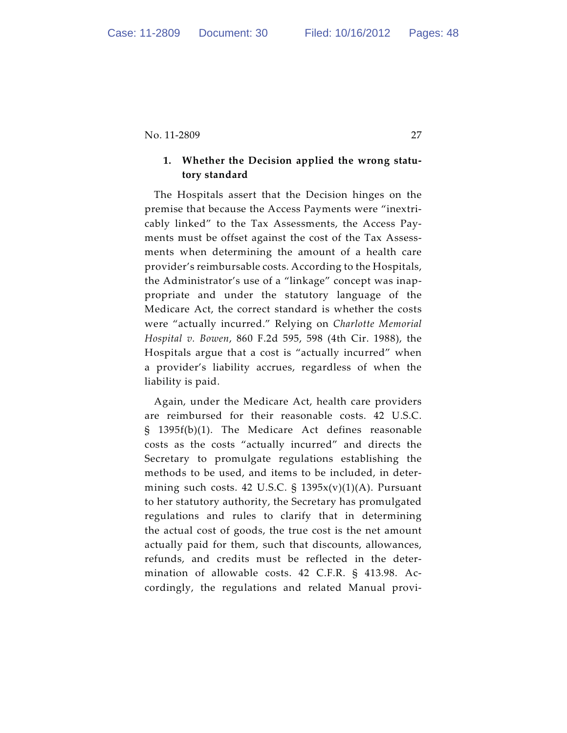## **1. Whether the Decision applied the wrong statutory standard**

The Hospitals assert that the Decision hinges on the premise that because the Access Payments were "inextricably linked" to the Tax Assessments, the Access Payments must be offset against the cost of the Tax Assessments when determining the amount of a health care provider's reimbursable costs. According to the Hospitals, the Administrator's use of a "linkage" concept was inappropriate and under the statutory language of the Medicare Act, the correct standard is whether the costs were "actually incurred." Relying on *Charlotte Memorial Hospital v. Bowen*, 860 F.2d 595, 598 (4th Cir. 1988), the Hospitals argue that a cost is "actually incurred" when a provider's liability accrues, regardless of when the liability is paid.

Again, under the Medicare Act, health care providers are reimbursed for their reasonable costs. 42 U.S.C. § 1395f(b)(1). The Medicare Act defines reasonable costs as the costs "actually incurred" and directs the Secretary to promulgate regulations establishing the methods to be used, and items to be included, in determining such costs. 42 U.S.C.  $\S$  1395 $x(v)(1)(A)$ . Pursuant to her statutory authority, the Secretary has promulgated regulations and rules to clarify that in determining the actual cost of goods, the true cost is the net amount actually paid for them, such that discounts, allowances, refunds, and credits must be reflected in the determination of allowable costs. 42 C.F.R. § 413.98. Accordingly, the regulations and related Manual provi-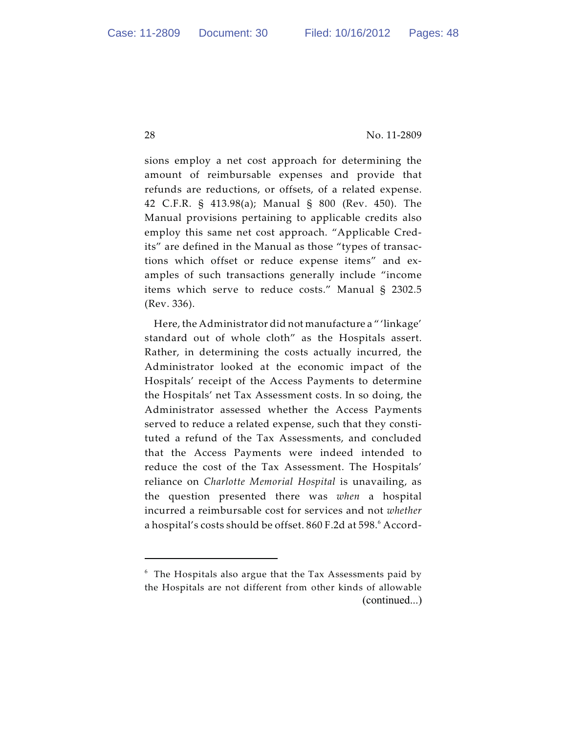sions employ a net cost approach for determining the amount of reimbursable expenses and provide that refunds are reductions, or offsets, of a related expense. 42 C.F.R. § 413.98(a); Manual § 800 (Rev. 450). The Manual provisions pertaining to applicable credits also employ this same net cost approach. "Applicable Credits" are defined in the Manual as those "types of transactions which offset or reduce expense items" and examples of such transactions generally include "income items which serve to reduce costs." Manual § 2302.5 (Rev. 336).

Here, the Administrator did not manufacture a " 'linkage' standard out of whole cloth" as the Hospitals assert. Rather, in determining the costs actually incurred, the Administrator looked at the economic impact of the Hospitals' receipt of the Access Payments to determine the Hospitals' net Tax Assessment costs. In so doing, the Administrator assessed whether the Access Payments served to reduce a related expense, such that they constituted a refund of the Tax Assessments, and concluded that the Access Payments were indeed intended to reduce the cost of the Tax Assessment. The Hospitals' reliance on *Charlotte Memorial Hospital* is unavailing, as the question presented there was *when* a hospital incurred a reimbursable cost for services and not *whether* a hospital's costs should be offset. 860 F.2d at 598.<sup>6</sup> Accord-

 $6$  The Hospitals also argue that the Tax Assessments paid by the Hospitals are not different from other kinds of allowable (continued...)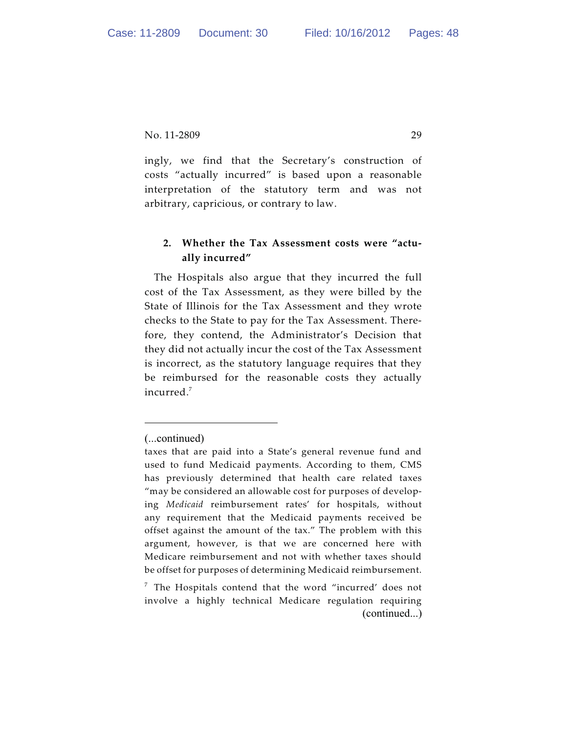ingly, we find that the Secretary's construction of costs "actually incurred" is based upon a reasonable interpretation of the statutory term and was not arbitrary, capricious, or contrary to law.

# **2. Whether the Tax Assessment costs were "actually incurred"**

The Hospitals also argue that they incurred the full cost of the Tax Assessment, as they were billed by the State of Illinois for the Tax Assessment and they wrote checks to the State to pay for the Tax Assessment. Therefore, they contend, the Administrator's Decision that they did not actually incur the cost of the Tax Assessment is incorrect, as the statutory language requires that they be reimbursed for the reasonable costs they actually incurred.<sup>7</sup>

<sup>(...</sup>continued)

taxes that are paid into a State's general revenue fund and used to fund Medicaid payments. According to them, CMS has previously determined that health care related taxes "may be considered an allowable cost for purposes of developing *Medicaid* reimbursement rates' for hospitals, without any requirement that the Medicaid payments received be offset against the amount of the tax." The problem with this argument, however, is that we are concerned here with Medicare reimbursement and not with whether taxes should be offset for purposes of determining Medicaid reimbursement.

 $7$  The Hospitals contend that the word "incurred' does not involve a highly technical Medicare regulation requiring (continued...)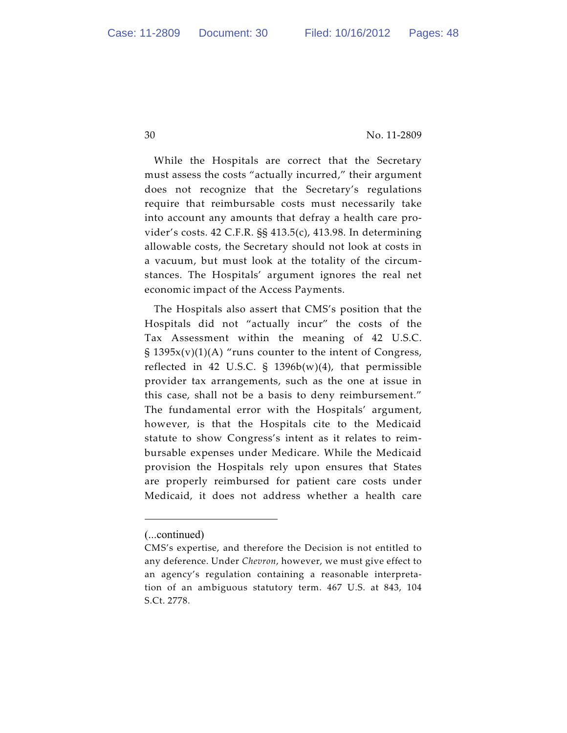While the Hospitals are correct that the Secretary must assess the costs "actually incurred," their argument does not recognize that the Secretary's regulations require that reimbursable costs must necessarily take into account any amounts that defray a health care provider's costs. 42 C.F.R. §§ 413.5(c), 413.98. In determining allowable costs, the Secretary should not look at costs in a vacuum, but must look at the totality of the circumstances. The Hospitals' argument ignores the real net economic impact of the Access Payments.

The Hospitals also assert that CMS's position that the Hospitals did not "actually incur" the costs of the Tax Assessment within the meaning of 42 U.S.C.  $\S$  1395x(v)(1)(A) "runs counter to the intent of Congress, reflected in 42 U.S.C.  $\S$  1396b(w)(4), that permissible provider tax arrangements, such as the one at issue in this case, shall not be a basis to deny reimbursement." The fundamental error with the Hospitals' argument, however, is that the Hospitals cite to the Medicaid statute to show Congress's intent as it relates to reimbursable expenses under Medicare. While the Medicaid provision the Hospitals rely upon ensures that States are properly reimbursed for patient care costs under Medicaid, it does not address whether a health care

<sup>(...</sup>continued)

CMS's expertise, and therefore the Decision is not entitled to any deference. Under *Chevron*, however, we must give effect to an agency's regulation containing a reasonable interpretation of an ambiguous statutory term. 467 U.S. at 843, 104 S.Ct. 2778.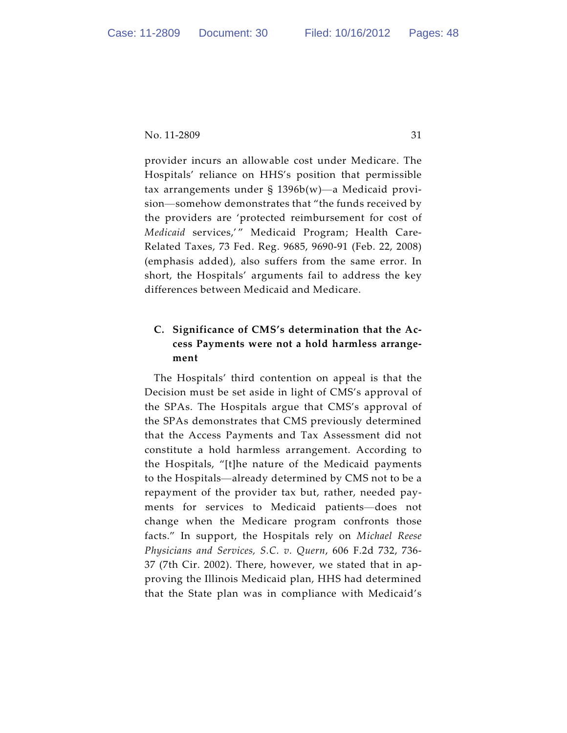provider incurs an allowable cost under Medicare. The Hospitals' reliance on HHS's position that permissible tax arrangements under § 1396b(w)—a Medicaid provision—somehow demonstrates that "the funds received by the providers are 'protected reimbursement for cost of *Medicaid* services,' " Medicaid Program; Health Care-Related Taxes, 73 Fed. Reg. 9685, 9690-91 (Feb. 22, 2008) (emphasis added), also suffers from the same error. In short, the Hospitals' arguments fail to address the key differences between Medicaid and Medicare.

# **C. Significance of CMS's determination that the Access Payments were not a hold harmless arrangement**

The Hospitals' third contention on appeal is that the Decision must be set aside in light of CMS's approval of the SPAs. The Hospitals argue that CMS's approval of the SPAs demonstrates that CMS previously determined that the Access Payments and Tax Assessment did not constitute a hold harmless arrangement. According to the Hospitals, "[t]he nature of the Medicaid payments to the Hospitals—already determined by CMS not to be a repayment of the provider tax but, rather, needed payments for services to Medicaid patients—does not change when the Medicare program confronts those facts." In support, the Hospitals rely on *Michael Reese Physicians and Services, S.C. v. Quern*, 606 F.2d 732, 736- 37 (7th Cir. 2002). There, however, we stated that in approving the Illinois Medicaid plan, HHS had determined that the State plan was in compliance with Medicaid's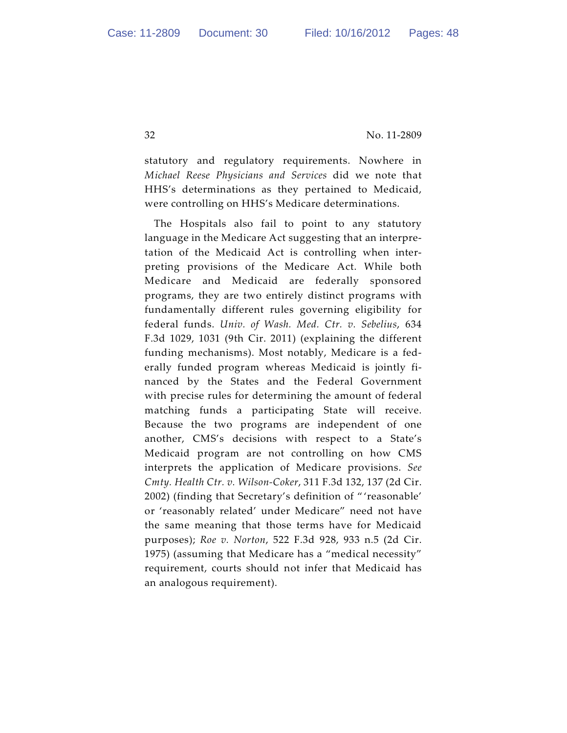statutory and regulatory requirements. Nowhere in *Michael Reese Physicians and Services* did we note that HHS's determinations as they pertained to Medicaid, were controlling on HHS's Medicare determinations.

The Hospitals also fail to point to any statutory language in the Medicare Act suggesting that an interpretation of the Medicaid Act is controlling when interpreting provisions of the Medicare Act. While both Medicare and Medicaid are federally sponsored programs, they are two entirely distinct programs with fundamentally different rules governing eligibility for federal funds. *Univ. of Wash. Med. Ctr. v. Sebelius*, 634 F.3d 1029, 1031 (9th Cir. 2011) (explaining the different funding mechanisms). Most notably, Medicare is a federally funded program whereas Medicaid is jointly financed by the States and the Federal Government with precise rules for determining the amount of federal matching funds a participating State will receive. Because the two programs are independent of one another, CMS's decisions with respect to a State's Medicaid program are not controlling on how CMS interprets the application of Medicare provisions. *See Cmty. Health Ctr. v. Wilson-Coker*, 311 F.3d 132, 137 (2d Cir. 2002) (finding that Secretary's definition of " 'reasonable' or 'reasonably related' under Medicare" need not have the same meaning that those terms have for Medicaid purposes); *Roe v. Norton*, 522 F.3d 928, 933 n.5 (2d Cir. 1975) (assuming that Medicare has a "medical necessity" requirement, courts should not infer that Medicaid has an analogous requirement).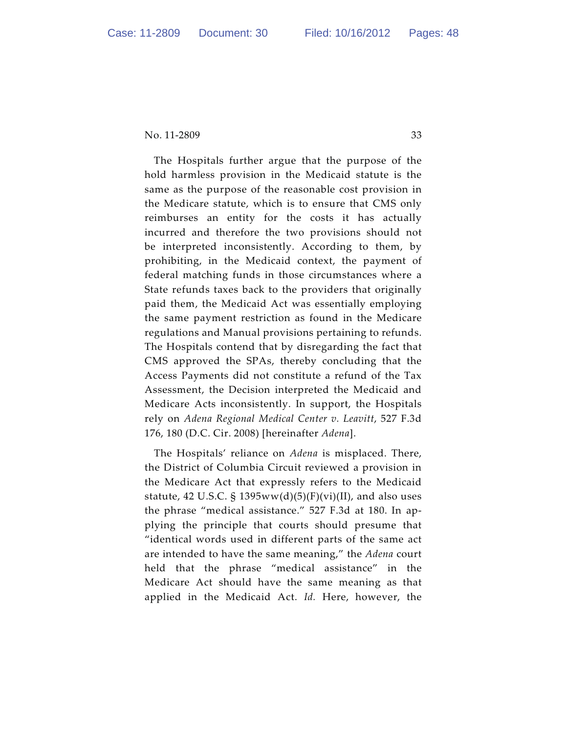The Hospitals further argue that the purpose of the hold harmless provision in the Medicaid statute is the same as the purpose of the reasonable cost provision in the Medicare statute, which is to ensure that CMS only reimburses an entity for the costs it has actually incurred and therefore the two provisions should not be interpreted inconsistently. According to them, by prohibiting, in the Medicaid context, the payment of federal matching funds in those circumstances where a State refunds taxes back to the providers that originally paid them, the Medicaid Act was essentially employing the same payment restriction as found in the Medicare regulations and Manual provisions pertaining to refunds. The Hospitals contend that by disregarding the fact that CMS approved the SPAs, thereby concluding that the Access Payments did not constitute a refund of the Tax Assessment, the Decision interpreted the Medicaid and Medicare Acts inconsistently. In support, the Hospitals rely on *Adena Regional Medical Center v. Leavitt*, 527 F.3d 176, 180 (D.C. Cir. 2008) [hereinafter *Adena*].

The Hospitals' reliance on *Adena* is misplaced. There, the District of Columbia Circuit reviewed a provision in the Medicare Act that expressly refers to the Medicaid statute, 42 U.S.C.  $\S$  1395ww(d)(5)(F)(vi)(II), and also uses the phrase "medical assistance." 527 F.3d at 180. In applying the principle that courts should presume that "identical words used in different parts of the same act are intended to have the same meaning," the *Adena* court held that the phrase "medical assistance" in the Medicare Act should have the same meaning as that applied in the Medicaid Act. *Id.* Here, however, the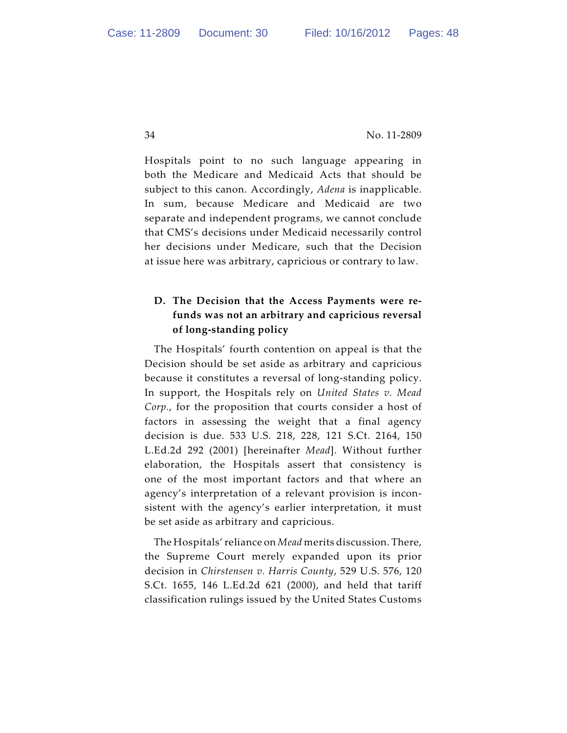Hospitals point to no such language appearing in both the Medicare and Medicaid Acts that should be subject to this canon. Accordingly, *Adena* is inapplicable. In sum, because Medicare and Medicaid are two separate and independent programs, we cannot conclude that CMS's decisions under Medicaid necessarily control her decisions under Medicare, such that the Decision at issue here was arbitrary, capricious or contrary to law.

# **D. The Decision that the Access Payments were refunds was not an arbitrary and capricious reversal of long-standing policy**

The Hospitals' fourth contention on appeal is that the Decision should be set aside as arbitrary and capricious because it constitutes a reversal of long-standing policy. In support, the Hospitals rely on *United States v. Mead Corp.*, for the proposition that courts consider a host of factors in assessing the weight that a final agency decision is due. 533 U.S. 218, 228, 121 S.Ct. 2164, 150 L.Ed.2d 292 (2001) [hereinafter *Mead*]. Without further elaboration, the Hospitals assert that consistency is one of the most important factors and that where an agency's interpretation of a relevant provision is inconsistent with the agency's earlier interpretation, it must be set aside as arbitrary and capricious.

The Hospitals' reliance on *Mead* merits discussion. There, the Supreme Court merely expanded upon its prior decision in *Chirstensen v. Harris County*, 529 U.S. 576, 120 S.Ct. 1655, 146 L.Ed.2d 621 (2000), and held that tariff classification rulings issued by the United States Customs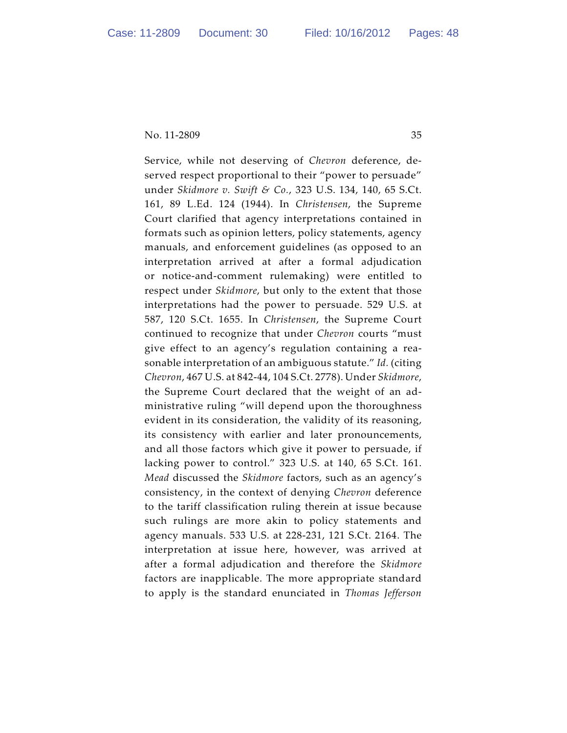Service, while not deserving of *Chevron* deference, deserved respect proportional to their "power to persuade" under *Skidmore v. Swift & Co.*, 323 U.S. 134, 140, 65 S.Ct. 161, 89 L.Ed. 124 (1944). In *Christensen*, the Supreme Court clarified that agency interpretations contained in formats such as opinion letters, policy statements, agency manuals, and enforcement guidelines (as opposed to an interpretation arrived at after a formal adjudication or notice-and-comment rulemaking) were entitled to respect under *Skidmore*, but only to the extent that those interpretations had the power to persuade. 529 U.S. at 587, 120 S.Ct. 1655. In *Christensen*, the Supreme Court continued to recognize that under *Chevron* courts "must give effect to an agency's regulation containing a reasonable interpretation of an ambiguous statute." *Id.* (citing *Chevron*, 467 U.S. at 842-44, 104 S.Ct. 2778). Under *Skidmore*, the Supreme Court declared that the weight of an administrative ruling "will depend upon the thoroughness evident in its consideration, the validity of its reasoning, its consistency with earlier and later pronouncements, and all those factors which give it power to persuade, if lacking power to control." 323 U.S. at 140, 65 S.Ct. 161. *Mead* discussed the *Skidmore* factors, such as an agency's consistency, in the context of denying *Chevron* deference to the tariff classification ruling therein at issue because such rulings are more akin to policy statements and agency manuals. 533 U.S. at 228-231, 121 S.Ct. 2164. The interpretation at issue here, however, was arrived at after a formal adjudication and therefore the *Skidmore* factors are inapplicable. The more appropriate standard to apply is the standard enunciated in *Thomas Jefferson*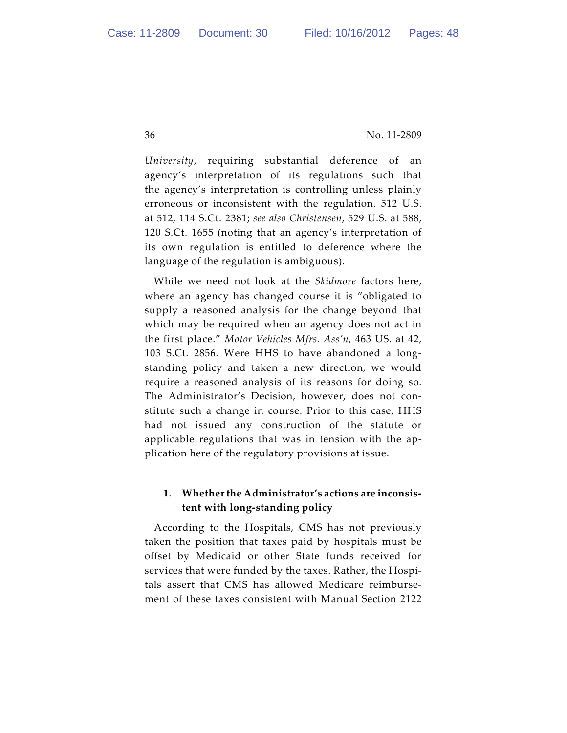*University*, requiring substantial deference of an agency's interpretation of its regulations such that the agency's interpretation is controlling unless plainly erroneous or inconsistent with the regulation. 512 U.S. at 512, 114 S.Ct. 2381; *see also Christensen*, 529 U.S. at 588, 120 S.Ct. 1655 (noting that an agency's interpretation of its own regulation is entitled to deference where the language of the regulation is ambiguous).

While we need not look at the *Skidmore* factors here, where an agency has changed course it is "obligated to supply a reasoned analysis for the change beyond that which may be required when an agency does not act in the first place." *Motor Vehicles Mfrs. Ass'n,* 463 US. at 42, 103 S.Ct. 2856. Were HHS to have abandoned a longstanding policy and taken a new direction, we would require a reasoned analysis of its reasons for doing so. The Administrator's Decision, however, does not constitute such a change in course. Prior to this case, HHS had not issued any construction of the statute or applicable regulations that was in tension with the application here of the regulatory provisions at issue.

## **1. Whether the Administrator's actions are inconsistent with long-standing policy**

According to the Hospitals, CMS has not previously taken the position that taxes paid by hospitals must be offset by Medicaid or other State funds received for services that were funded by the taxes. Rather, the Hospitals assert that CMS has allowed Medicare reimbursement of these taxes consistent with Manual Section 2122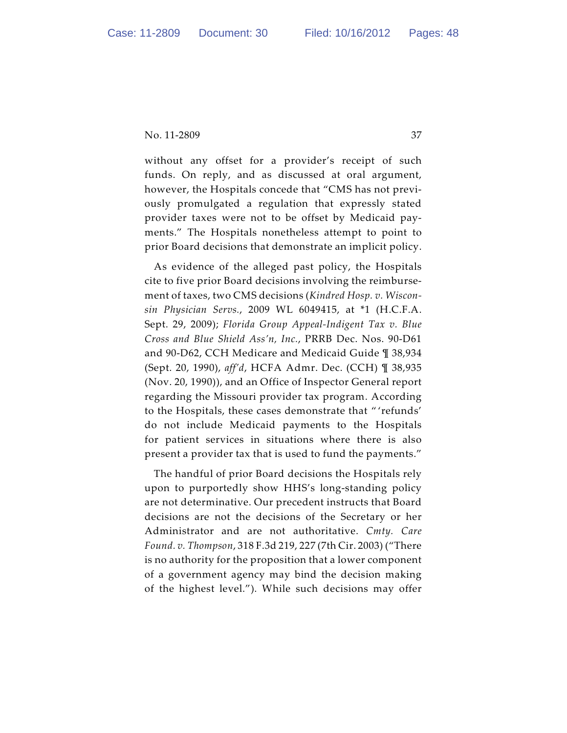without any offset for a provider's receipt of such funds. On reply, and as discussed at oral argument, however, the Hospitals concede that "CMS has not previously promulgated a regulation that expressly stated provider taxes were not to be offset by Medicaid payments." The Hospitals nonetheless attempt to point to prior Board decisions that demonstrate an implicit policy.

As evidence of the alleged past policy, the Hospitals cite to five prior Board decisions involving the reimbursement of taxes, two CMS decisions (*Kindred Hosp. v. Wisconsin Physician Servs.*, 2009 WL 6049415, at \*1 (H.C.F.A. Sept. 29, 2009); *Florida Group Appeal-Indigent Tax v. Blue Cross and Blue Shield Ass'n, Inc.*, PRRB Dec. Nos. 90-D61 and 90-D62, CCH Medicare and Medicaid Guide ¶ 38,934 (Sept. 20, 1990), *aff'd*, HCFA Admr. Dec. (CCH) ¶ 38,935 (Nov. 20, 1990)), and an Office of Inspector General report regarding the Missouri provider tax program. According to the Hospitals, these cases demonstrate that " 'refunds' do not include Medicaid payments to the Hospitals for patient services in situations where there is also present a provider tax that is used to fund the payments."

The handful of prior Board decisions the Hospitals rely upon to purportedly show HHS's long-standing policy are not determinative. Our precedent instructs that Board decisions are not the decisions of the Secretary or her Administrator and are not authoritative. *Cmty. Care Found. v. Thompson*, 318 F.3d 219, 227 (7th Cir. 2003) ("There is no authority for the proposition that a lower component of a government agency may bind the decision making of the highest level."). While such decisions may offer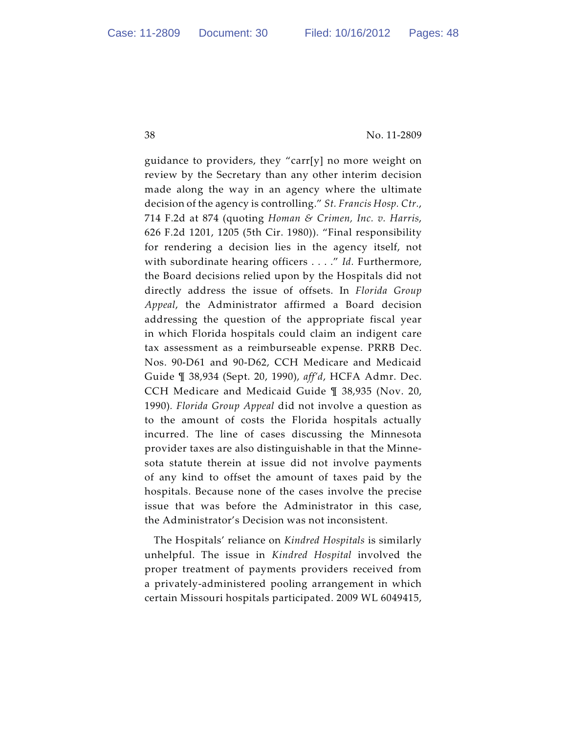guidance to providers, they "carr[y] no more weight on review by the Secretary than any other interim decision made along the way in an agency where the ultimate decision of the agency is controlling." *St. Francis Hosp. Ctr.*, 714 F.2d at 874 (quoting *Homan & Crimen, Inc. v. Harris*, 626 F.2d 1201, 1205 (5th Cir. 1980)). "Final responsibility for rendering a decision lies in the agency itself, not with subordinate hearing officers . . . ." *Id.* Furthermore, the Board decisions relied upon by the Hospitals did not directly address the issue of offsets. In *Florida Group Appeal*, the Administrator affirmed a Board decision addressing the question of the appropriate fiscal year in which Florida hospitals could claim an indigent care tax assessment as a reimburseable expense. PRRB Dec. Nos. 90-D61 and 90-D62, CCH Medicare and Medicaid Guide ¶ 38,934 (Sept. 20, 1990), *aff'd*, HCFA Admr. Dec. CCH Medicare and Medicaid Guide ¶ 38,935 (Nov. 20, 1990)*. Florida Group Appeal* did not involve a question as to the amount of costs the Florida hospitals actually incurred. The line of cases discussing the Minnesota provider taxes are also distinguishable in that the Minnesota statute therein at issue did not involve payments of any kind to offset the amount of taxes paid by the hospitals. Because none of the cases involve the precise issue that was before the Administrator in this case, the Administrator's Decision was not inconsistent.

The Hospitals' reliance on *Kindred Hospitals* is similarly unhelpful. The issue in *Kindred Hospital* involved the proper treatment of payments providers received from a privately-administered pooling arrangement in which certain Missouri hospitals participated. 2009 WL 6049415,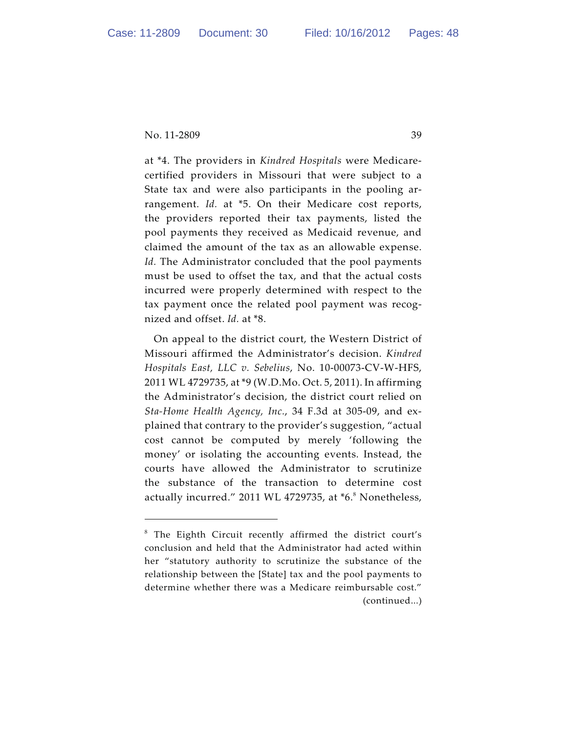at \*4. The providers in *Kindred Hospitals* were Medicarecertified providers in Missouri that were subject to a State tax and were also participants in the pooling arrangement. *Id.* at \*5. On their Medicare cost reports, the providers reported their tax payments, listed the pool payments they received as Medicaid revenue, and claimed the amount of the tax as an allowable expense. *Id.* The Administrator concluded that the pool payments must be used to offset the tax, and that the actual costs incurred were properly determined with respect to the tax payment once the related pool payment was recognized and offset. *Id.* at \*8.

On appeal to the district court, the Western District of Missouri affirmed the Administrator's decision. *Kindred Hospitals East, LLC v. Sebelius*, No. 10-00073-CV-W-HFS, 2011 WL 4729735, at \*9 (W.D.Mo. Oct. 5, 2011). In affirming the Administrator's decision, the district court relied on *Sta-Home Health Agency, Inc.*, 34 F.3d at 305-09, and explained that contrary to the provider's suggestion, "actual cost cannot be computed by merely 'following the money' or isolating the accounting events. Instead, the courts have allowed the Administrator to scrutinize the substance of the transaction to determine cost actually incurred." 2011 WL 4729735, at \*6.<sup>8</sup> Nonetheless,

 $8$  The Eighth Circuit recently affirmed the district court's conclusion and held that the Administrator had acted within her "statutory authority to scrutinize the substance of the relationship between the [State] tax and the pool payments to determine whether there was a Medicare reimbursable cost." (continued...)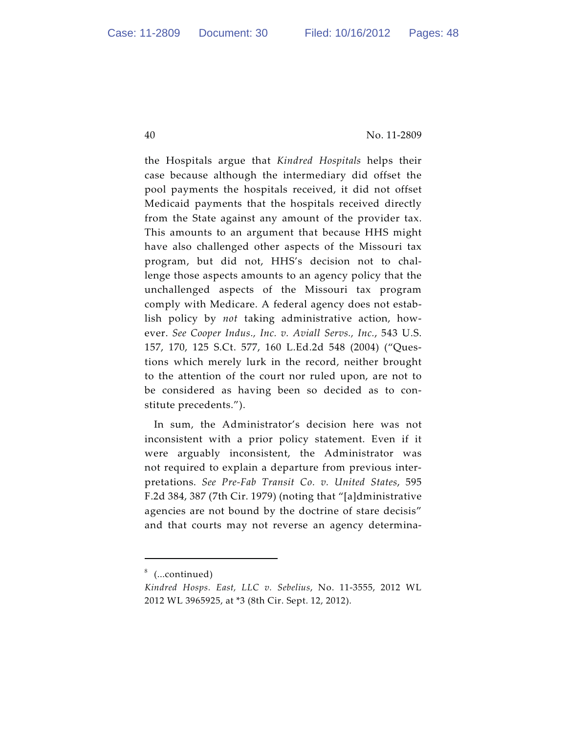the Hospitals argue that *Kindred Hospitals* helps their case because although the intermediary did offset the pool payments the hospitals received, it did not offset Medicaid payments that the hospitals received directly from the State against any amount of the provider tax. This amounts to an argument that because HHS might have also challenged other aspects of the Missouri tax program, but did not, HHS's decision not to challenge those aspects amounts to an agency policy that the unchallenged aspects of the Missouri tax program comply with Medicare. A federal agency does not establish policy by *not* taking administrative action, however. *See Cooper Indus., Inc. v. Aviall Servs., Inc.*, 543 U.S. 157, 170, 125 S.Ct. 577, 160 L.Ed.2d 548 (2004) ("Questions which merely lurk in the record, neither brought to the attention of the court nor ruled upon, are not to be considered as having been so decided as to constitute precedents.").

In sum, the Administrator's decision here was not inconsistent with a prior policy statement. Even if it were arguably inconsistent, the Administrator was not required to explain a departure from previous interpretations. *See Pre-Fab Transit Co. v. United States*, 595 F.2d 384, 387 (7th Cir. 1979) (noting that "[a]dministrative agencies are not bound by the doctrine of stare decisis" and that courts may not reverse an agency determina-

<sup>&</sup>lt;sup>8</sup> (...continued)

*Kindred Hosps. East, LLC v. Sebelius*, No. 11-3555, 2012 WL 2012 WL 3965925, at \*3 (8th Cir. Sept. 12, 2012).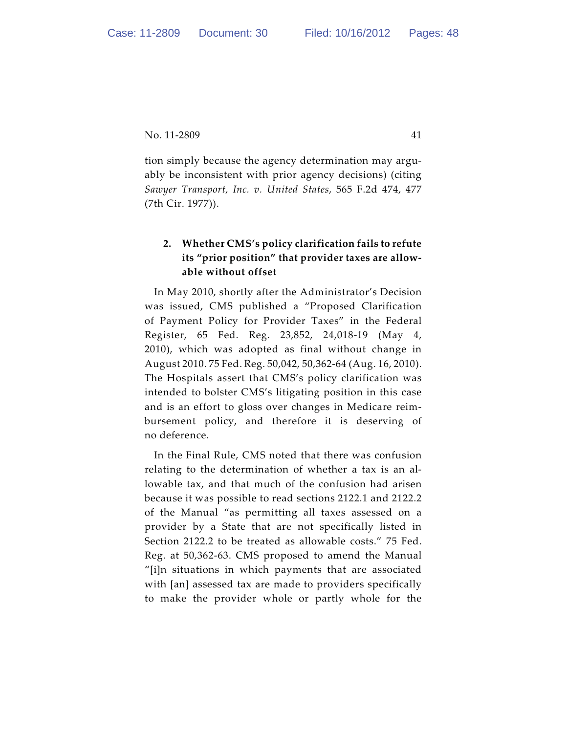tion simply because the agency determination may arguably be inconsistent with prior agency decisions) (citing *Sawyer Transport, Inc. v. United States*, 565 F.2d 474, 477 (7th Cir. 1977)).

# **2. Whether CMS's policy clarification fails to refute its "prior position" that provider taxes are allowable without offset**

In May 2010, shortly after the Administrator's Decision was issued, CMS published a "Proposed Clarification of Payment Policy for Provider Taxes" in the Federal Register, 65 Fed. Reg. 23,852, 24,018-19 (May 4, 2010), which was adopted as final without change in August 2010. 75 Fed. Reg. 50,042, 50,362-64 (Aug. 16, 2010). The Hospitals assert that CMS's policy clarification was intended to bolster CMS's litigating position in this case and is an effort to gloss over changes in Medicare reimbursement policy, and therefore it is deserving of no deference.

In the Final Rule, CMS noted that there was confusion relating to the determination of whether a tax is an allowable tax, and that much of the confusion had arisen because it was possible to read sections 2122.1 and 2122.2 of the Manual "as permitting all taxes assessed on a provider by a State that are not specifically listed in Section 2122.2 to be treated as allowable costs." 75 Fed. Reg. at 50,362-63. CMS proposed to amend the Manual "[i]n situations in which payments that are associated with [an] assessed tax are made to providers specifically to make the provider whole or partly whole for the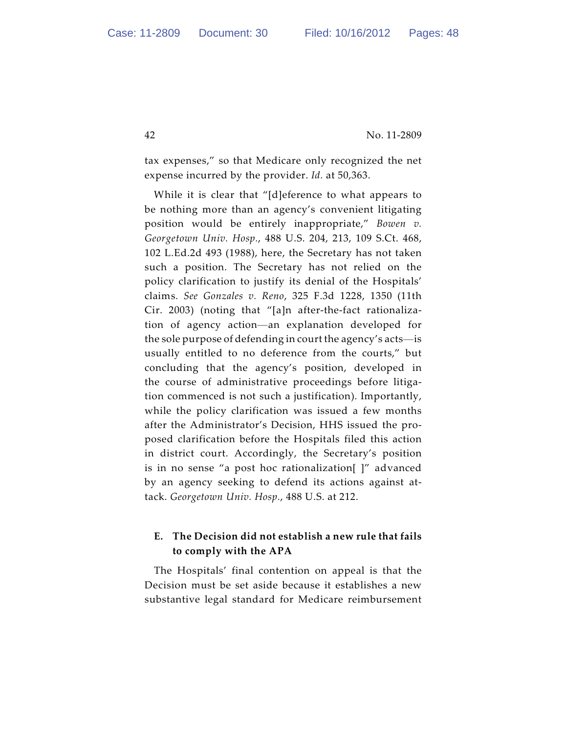tax expenses," so that Medicare only recognized the net expense incurred by the provider. *Id.* at 50,363.

While it is clear that "[d]eference to what appears to be nothing more than an agency's convenient litigating position would be entirely inappropriate," *Bowen v. Georgetown Univ. Hosp.*, 488 U.S. 204, 213, 109 S.Ct. 468, 102 L.Ed.2d 493 (1988), here, the Secretary has not taken such a position. The Secretary has not relied on the policy clarification to justify its denial of the Hospitals' claims. *See Gonzales v. Reno*, 325 F.3d 1228, 1350 (11th Cir. 2003) (noting that "[a]n after-the-fact rationalization of agency action—an explanation developed for the sole purpose of defending in court the agency's acts—is usually entitled to no deference from the courts," but concluding that the agency's position, developed in the course of administrative proceedings before litigation commenced is not such a justification). Importantly, while the policy clarification was issued a few months after the Administrator's Decision, HHS issued the proposed clarification before the Hospitals filed this action in district court. Accordingly, the Secretary's position is in no sense "a post hoc rationalization[ ]" advanced by an agency seeking to defend its actions against attack. *Georgetown Univ. Hosp.*, 488 U.S. at 212.

## **E. The Decision did not establish a new rule that fails to comply with the APA**

The Hospitals' final contention on appeal is that the Decision must be set aside because it establishes a new substantive legal standard for Medicare reimbursement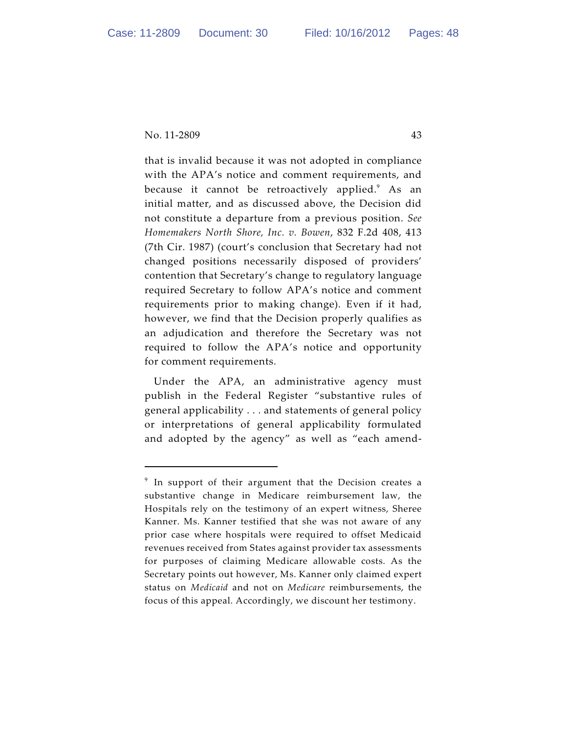that is invalid because it was not adopted in compliance with the APA's notice and comment requirements, and because it cannot be retroactively applied.<sup>9</sup> As an initial matter, and as discussed above, the Decision did not constitute a departure from a previous position. *See Homemakers North Shore, Inc. v. Bowen*, 832 F.2d 408, 413 (7th Cir. 1987) (court's conclusion that Secretary had not changed positions necessarily disposed of providers' contention that Secretary's change to regulatory language required Secretary to follow APA's notice and comment requirements prior to making change). Even if it had, however, we find that the Decision properly qualifies as an adjudication and therefore the Secretary was not required to follow the APA's notice and opportunity for comment requirements.

Under the APA, an administrative agency must publish in the Federal Register "substantive rules of general applicability . . . and statements of general policy or interpretations of general applicability formulated and adopted by the agency" as well as "each amend-

 $9$  In support of their argument that the Decision creates a substantive change in Medicare reimbursement law, the Hospitals rely on the testimony of an expert witness, Sheree Kanner. Ms. Kanner testified that she was not aware of any prior case where hospitals were required to offset Medicaid revenues received from States against provider tax assessments for purposes of claiming Medicare allowable costs. As the Secretary points out however, Ms. Kanner only claimed expert status on *Medicaid* and not on *Medicare* reimbursements, the focus of this appeal. Accordingly, we discount her testimony.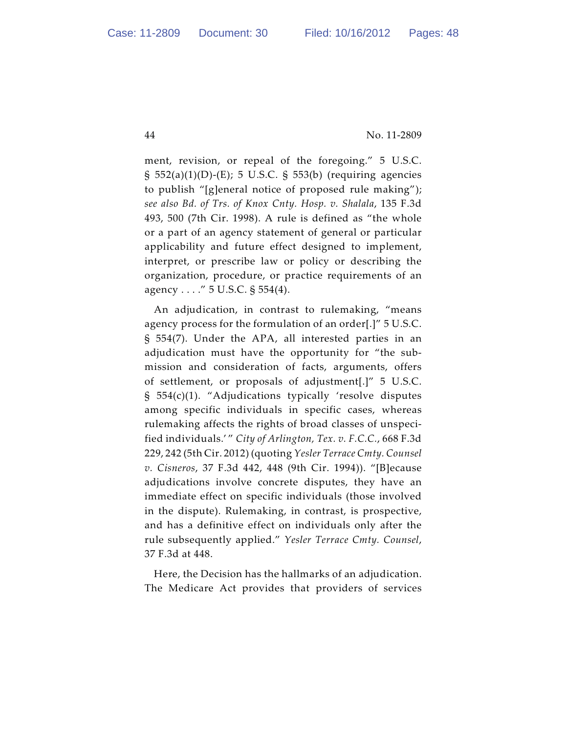ment, revision, or repeal of the foregoing." 5 U.S.C. § 552(a)(1)(D)-(E); 5 U.S.C. § 553(b) (requiring agencies to publish "[g]eneral notice of proposed rule making"); *see also Bd. of Trs. of Knox Cnty. Hosp. v. Shalala*, 135 F.3d 493, 500 (7th Cir. 1998). A rule is defined as "the whole or a part of an agency statement of general or particular applicability and future effect designed to implement, interpret, or prescribe law or policy or describing the organization, procedure, or practice requirements of an agency . . . ." 5 U.S.C. § 554(4).

An adjudication, in contrast to rulemaking, "means agency process for the formulation of an order[.]" 5 U.S.C. § 554(7). Under the APA, all interested parties in an adjudication must have the opportunity for "the submission and consideration of facts, arguments, offers of settlement, or proposals of adjustment[.]" 5 U.S.C. § 554(c)(1). "Adjudications typically 'resolve disputes among specific individuals in specific cases, whereas rulemaking affects the rights of broad classes of unspecified individuals.' " *City of Arlington, Tex. v. F.C.C.*, 668 F.3d 229, 242 (5th Cir. 2012) (quoting *Yesler Terrace Cmty. Counsel v. Cisneros*, 37 F.3d 442, 448 (9th Cir. 1994)). "[B]ecause adjudications involve concrete disputes, they have an immediate effect on specific individuals (those involved in the dispute). Rulemaking, in contrast, is prospective, and has a definitive effect on individuals only after the rule subsequently applied." *Yesler Terrace Cmty. Counsel*, 37 F.3d at 448.

Here, the Decision has the hallmarks of an adjudication. The Medicare Act provides that providers of services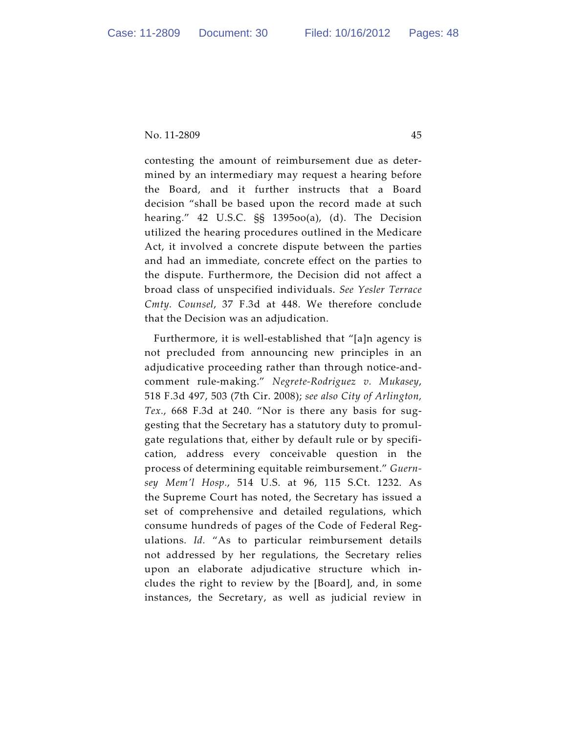contesting the amount of reimbursement due as determined by an intermediary may request a hearing before the Board, and it further instructs that a Board decision "shall be based upon the record made at such hearing." 42 U.S.C. §§ 1395oo(a), (d). The Decision utilized the hearing procedures outlined in the Medicare Act, it involved a concrete dispute between the parties and had an immediate, concrete effect on the parties to the dispute. Furthermore, the Decision did not affect a broad class of unspecified individuals. *See Yesler Terrace Cmty. Counsel*, 37 F.3d at 448. We therefore conclude that the Decision was an adjudication.

Furthermore, it is well-established that "[a]n agency is not precluded from announcing new principles in an adjudicative proceeding rather than through notice-andcomment rule-making." *Negrete-Rodriguez v. Mukasey*, 518 F.3d 497, 503 (7th Cir. 2008); *see also City of Arlington, Tex.*, 668 F.3d at 240. "Nor is there any basis for suggesting that the Secretary has a statutory duty to promulgate regulations that, either by default rule or by specification, address every conceivable question in the process of determining equitable reimbursement." *Guernsey Mem'l Hosp.*, 514 U.S. at 96, 115 S.Ct. 1232. As the Supreme Court has noted, the Secretary has issued a set of comprehensive and detailed regulations, which consume hundreds of pages of the Code of Federal Regulations. *Id.* "As to particular reimbursement details not addressed by her regulations, the Secretary relies upon an elaborate adjudicative structure which includes the right to review by the [Board], and, in some instances, the Secretary, as well as judicial review in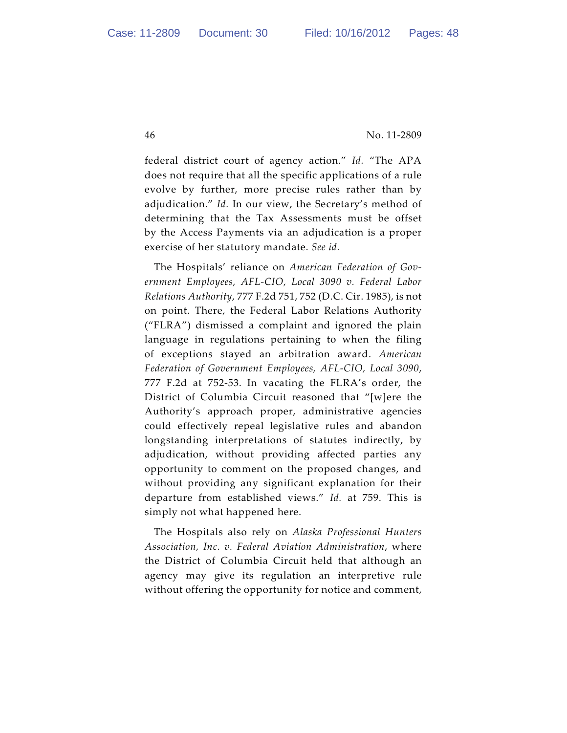federal district court of agency action." *Id.* "The APA does not require that all the specific applications of a rule evolve by further, more precise rules rather than by adjudication." *Id.* In our view, the Secretary's method of determining that the Tax Assessments must be offset by the Access Payments via an adjudication is a proper exercise of her statutory mandate. *See id.*

The Hospitals' reliance on *American Federation of Government Employees, AFL-CIO, Local 3090 v. Federal Labor Relations Authority*, 777 F.2d 751, 752 (D.C. Cir. 1985), is not on point. There, the Federal Labor Relations Authority ("FLRA") dismissed a complaint and ignored the plain language in regulations pertaining to when the filing of exceptions stayed an arbitration award. *American Federation of Government Employees, AFL-CIO, Local 3090*, 777 F.2d at 752-53. In vacating the FLRA's order, the District of Columbia Circuit reasoned that "[w]ere the Authority's approach proper, administrative agencies could effectively repeal legislative rules and abandon longstanding interpretations of statutes indirectly, by adjudication, without providing affected parties any opportunity to comment on the proposed changes, and without providing any significant explanation for their departure from established views." *Id.* at 759. This is simply not what happened here.

The Hospitals also rely on *Alaska Professional Hunters Association, Inc. v. Federal Aviation Administration*, where the District of Columbia Circuit held that although an agency may give its regulation an interpretive rule without offering the opportunity for notice and comment,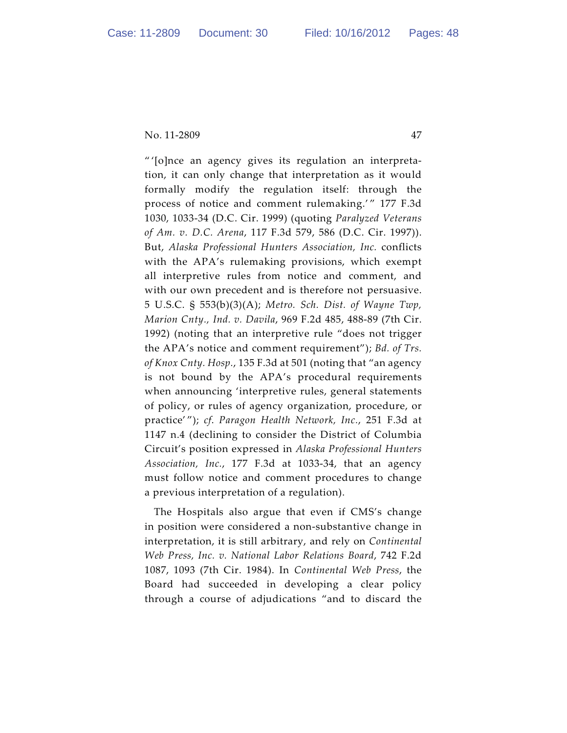" '[o]nce an agency gives its regulation an interpretation, it can only change that interpretation as it would formally modify the regulation itself: through the process of notice and comment rulemaking.'" 177 F.3d 1030, 1033-34 (D.C. Cir. 1999) (quoting *Paralyzed Veterans of Am. v. D.C. Arena*, 117 F.3d 579, 586 (D.C. Cir. 1997)). But, *Alaska Professional Hunters Association, Inc.* conflicts with the APA's rulemaking provisions, which exempt all interpretive rules from notice and comment, and with our own precedent and is therefore not persuasive. 5 U.S.C. § 553(b)(3)(A); *Metro. Sch. Dist. of Wayne Twp, Marion Cnty., Ind. v. Davila*, 969 F.2d 485, 488-89 (7th Cir. 1992) (noting that an interpretive rule "does not trigger the APA's notice and comment requirement"); *Bd. of Trs. of Knox Cnty. Hosp.*, 135 F.3d at 501 (noting that "an agency is not bound by the APA's procedural requirements when announcing 'interpretive rules, general statements of policy, or rules of agency organization, procedure, or practice' "); *cf*. *Paragon Health Network, Inc.*, 251 F.3d at 1147 n.4 (declining to consider the District of Columbia Circuit's position expressed in *Alaska Professional Hunters Association, Inc.*, 177 F.3d at 1033-34, that an agency must follow notice and comment procedures to change a previous interpretation of a regulation).

The Hospitals also argue that even if CMS's change in position were considered a non-substantive change in interpretation, it is still arbitrary, and rely on *Continental Web Press, Inc. v. National Labor Relations Board*, 742 F.2d 1087, 1093 (7th Cir. 1984). In *Continental Web Press*, the Board had succeeded in developing a clear policy through a course of adjudications "and to discard the